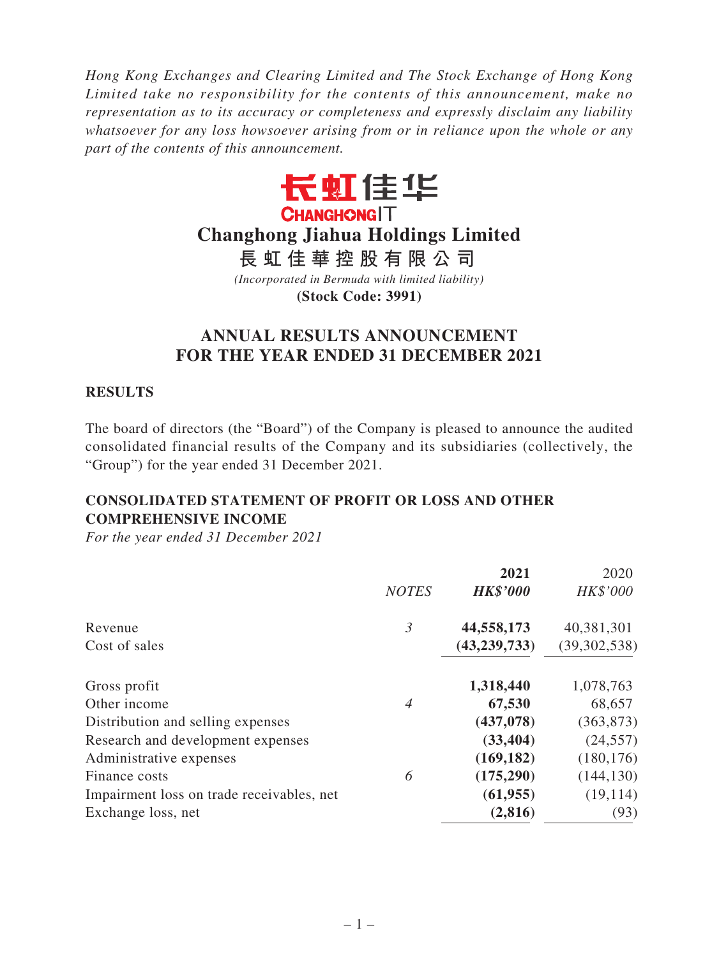*Hong Kong Exchanges and Clearing Limited and The Stock Exchange of Hong Kong Limited take no responsibility for the contents of this announcement, make no representation as to its accuracy or completeness and expressly disclaim any liability whatsoever for any loss howsoever arising from or in reliance upon the whole or any part of the contents of this announcement.*



# **Changhong Jiahua Holdings Limited**

**長虹佳華控股有限公司**

*(Incorporated in Bermuda with limited liability)* **(Stock Code: 3991)**

# **ANNUAL RESULTS ANNOUNCEMENT FOR THE YEAR ENDED 31 DECEMBER 2021**

### **RESULTS**

The board of directors (the "Board") of the Company is pleased to announce the audited consolidated financial results of the Company and its subsidiaries (collectively, the "Group") for the year ended 31 December 2021.

# **CONSOLIDATED STATEMENT OF PROFIT OR LOSS AND OTHER COMPREHENSIVE INCOME**

|              | 2021            | 2020           |
|--------------|-----------------|----------------|
| <b>NOTES</b> | <b>HK\$'000</b> | HK\$'000       |
| 3            | 44,558,173      | 40,381,301     |
|              | (43, 239, 733)  | (39, 302, 538) |
|              | 1,318,440       | 1,078,763      |
| 4            | 67,530          | 68,657         |
|              | (437, 078)      | (363, 873)     |
|              | (33, 404)       | (24, 557)      |
|              | (169, 182)      | (180, 176)     |
| 6            | (175, 290)      | (144, 130)     |
|              | (61, 955)       | (19, 114)      |
|              | (2, 816)        | (93)           |
|              |                 |                |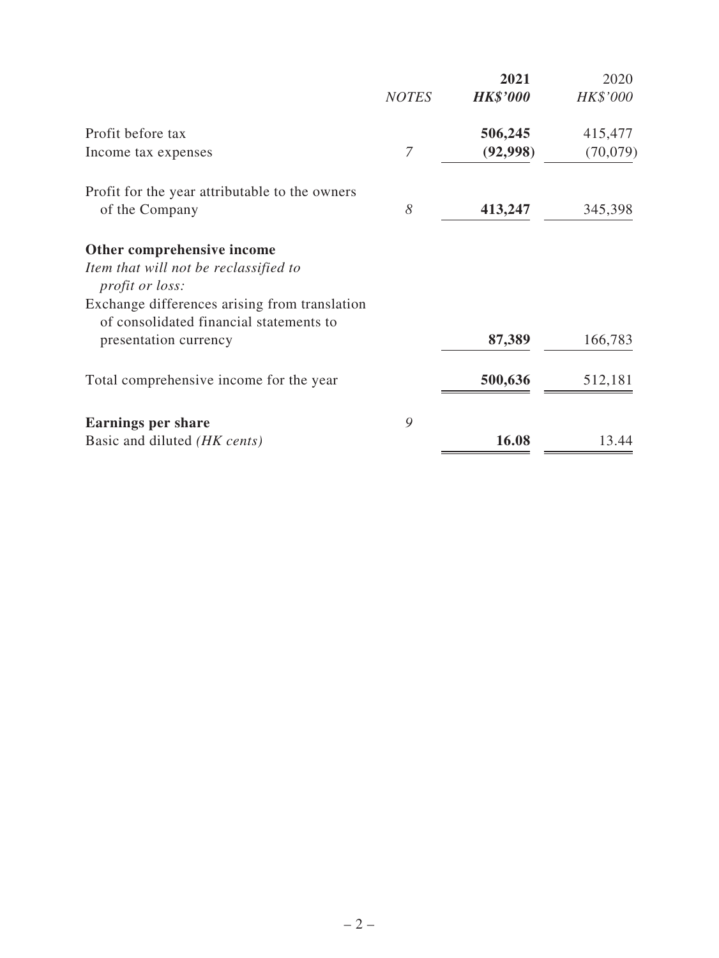|                                                                                          |              | 2021            | 2020     |
|------------------------------------------------------------------------------------------|--------------|-----------------|----------|
|                                                                                          | <b>NOTES</b> | <b>HK\$'000</b> | HK\$'000 |
| Profit before tax                                                                        |              | 506,245         | 415,477  |
| Income tax expenses                                                                      | 7            | (92,998)        | (70,079) |
| Profit for the year attributable to the owners                                           |              |                 |          |
| of the Company                                                                           | 8            | 413,247         | 345,398  |
| Other comprehensive income                                                               |              |                 |          |
| Item that will not be reclassified to<br><i>profit or loss:</i>                          |              |                 |          |
| Exchange differences arising from translation<br>of consolidated financial statements to |              |                 |          |
| presentation currency                                                                    |              | 87,389          | 166,783  |
| Total comprehensive income for the year                                                  |              | 500,636         | 512,181  |
| <b>Earnings per share</b>                                                                | 9            |                 |          |
| Basic and diluted <i>(HK cents)</i>                                                      |              | 16.08           | 13.44    |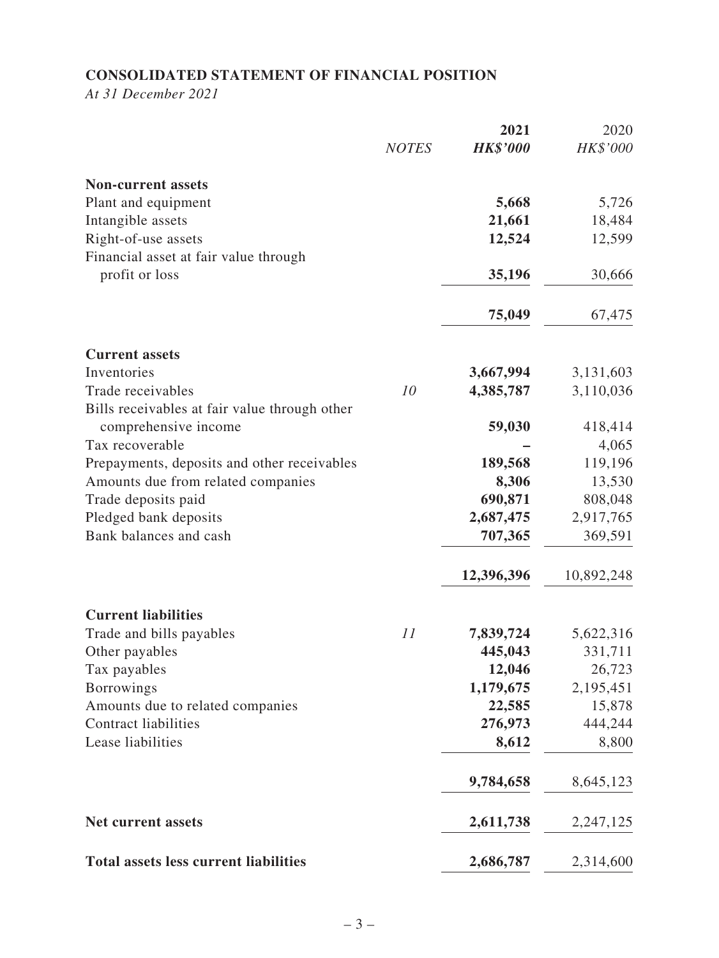# **CONSOLIDATED STATEMENT OF FINANCIAL POSITION**

*At 31 December 2021*

|                                                        |              | 2021            | 2020             |
|--------------------------------------------------------|--------------|-----------------|------------------|
|                                                        | <b>NOTES</b> | <b>HK\$'000</b> | HK\$'000         |
| <b>Non-current assets</b>                              |              |                 |                  |
| Plant and equipment                                    |              | 5,668           | 5,726            |
| Intangible assets                                      |              | 21,661          | 18,484           |
| Right-of-use assets                                    |              | 12,524          | 12,599           |
| Financial asset at fair value through                  |              |                 |                  |
| profit or loss                                         |              | 35,196          | 30,666           |
|                                                        |              | 75,049          | 67,475           |
| <b>Current assets</b>                                  |              |                 |                  |
| Inventories                                            |              | 3,667,994       | 3,131,603        |
| Trade receivables                                      | 10           | 4,385,787       | 3,110,036        |
| Bills receivables at fair value through other          |              |                 |                  |
| comprehensive income<br>Tax recoverable                |              | 59,030          | 418,414          |
| Prepayments, deposits and other receivables            |              | 189,568         | 4,065<br>119,196 |
| Amounts due from related companies                     |              | 8,306           | 13,530           |
| Trade deposits paid                                    |              | 690,871         | 808,048          |
| Pledged bank deposits                                  |              | 2,687,475       | 2,917,765        |
| Bank balances and cash                                 |              | 707,365         | 369,591          |
|                                                        |              | 12,396,396      | 10,892,248       |
|                                                        |              |                 |                  |
| <b>Current liabilities</b><br>Trade and bills payables | 11           | 7,839,724       | 5,622,316        |
| Other payables                                         |              | 445,043         | 331,711          |
| Tax payables                                           |              | 12,046          | 26,723           |
| <b>Borrowings</b>                                      |              | 1,179,675       | 2,195,451        |
| Amounts due to related companies                       |              | 22,585          | 15,878           |
| <b>Contract liabilities</b>                            |              | 276,973         | 444,244          |
| Lease liabilities                                      |              | 8,612           | 8,800            |
|                                                        |              | 9,784,658       | 8,645,123        |
| Net current assets                                     |              | 2,611,738       | 2,247,125        |
| <b>Total assets less current liabilities</b>           |              | 2,686,787       | 2,314,600        |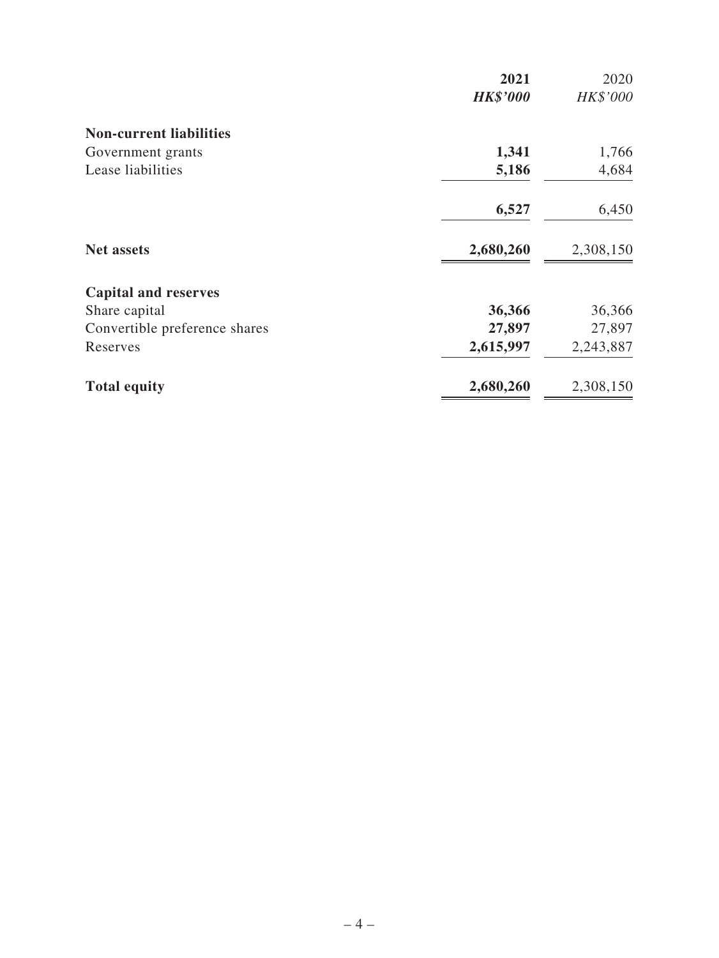|                                | 2021            | 2020      |
|--------------------------------|-----------------|-----------|
|                                | <b>HK\$'000</b> | HK\$'000  |
| <b>Non-current liabilities</b> |                 |           |
| Government grants              | 1,341           | 1,766     |
| Lease liabilities              | 5,186           | 4,684     |
|                                | 6,527           | 6,450     |
| <b>Net assets</b>              | 2,680,260       | 2,308,150 |
| <b>Capital and reserves</b>    |                 |           |
| Share capital                  | 36,366          | 36,366    |
| Convertible preference shares  | 27,897          | 27,897    |
| Reserves                       | 2,615,997       | 2,243,887 |
| <b>Total equity</b>            | 2,680,260       | 2,308,150 |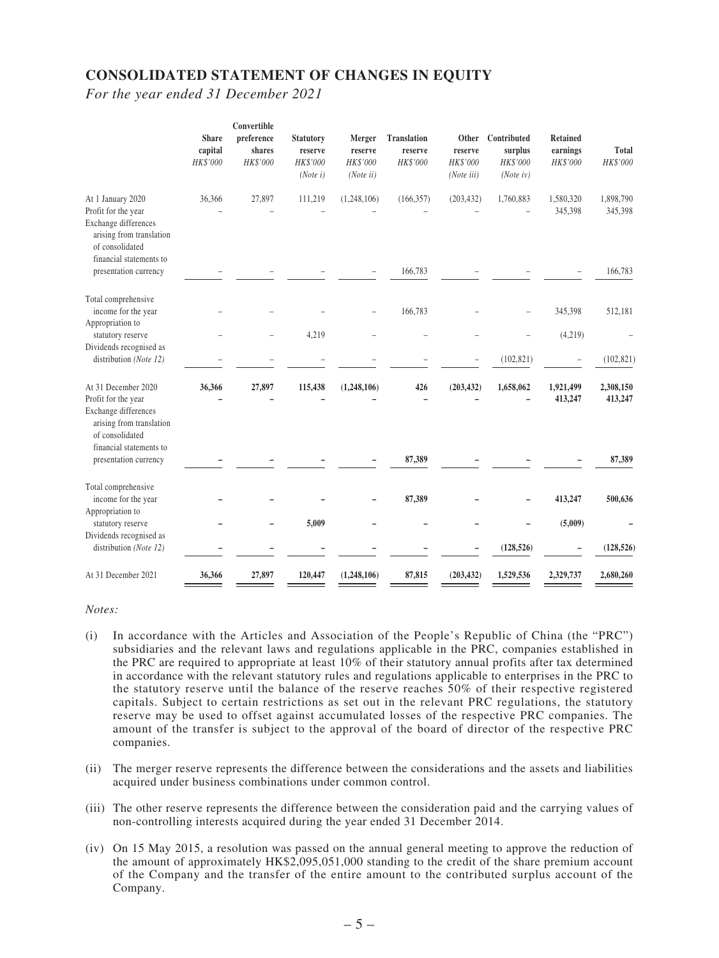### **CONSOLIDATED STATEMENT OF CHANGES IN EQUITY**

*For the year ended 31 December 2021*

|                                                                                                                       | <b>Share</b>        | Convertible<br>preference | <b>Statutory</b>                | Merger                           | <b>Translation</b>  | Other                             | Contributed                     | Retained             |                          |
|-----------------------------------------------------------------------------------------------------------------------|---------------------|---------------------------|---------------------------------|----------------------------------|---------------------|-----------------------------------|---------------------------------|----------------------|--------------------------|
|                                                                                                                       | capital<br>HK\$'000 | shares<br>HK\$'000        | reserve<br>HK\$'000<br>(Note i) | reserve<br>HK\$'000<br>(Note ii) | reserve<br>HK\$'000 | reserve<br>HK\$'000<br>(Note iii) | surplus<br>HK\$'000<br>(Noteiv) | earnings<br>HK\$'000 | <b>Total</b><br>HK\$'000 |
| At 1 January 2020                                                                                                     | 36,366              | 27,897                    | 111,219                         | (1, 248, 106)                    | (166, 357)          | (203, 432)                        | 1,760,883                       | 1,580,320            | 1,898,790                |
| Profit for the year<br>Exchange differences<br>arising from translation<br>of consolidated<br>financial statements to |                     |                           |                                 |                                  |                     |                                   |                                 | 345,398              | 345,398                  |
| presentation currency                                                                                                 |                     |                           |                                 |                                  | 166,783             |                                   |                                 |                      | 166,783                  |
| Total comprehensive<br>income for the year<br>Appropriation to                                                        |                     |                           |                                 |                                  | 166,783             |                                   |                                 | 345,398              | 512,181                  |
| statutory reserve<br>Dividends recognised as                                                                          |                     |                           | 4,219                           |                                  |                     |                                   |                                 | (4,219)              |                          |
| distribution (Note 12)                                                                                                |                     |                           |                                 |                                  |                     |                                   | (102, 821)                      |                      | (102, 821)               |
| At 31 December 2020                                                                                                   | 36,366              | 27,897                    | 115,438                         | (1, 248, 106)                    | 426                 | (203, 432)                        | 1,658,062                       | 1,921,499            | 2,308,150                |
| Profit for the year<br>Exchange differences<br>arising from translation<br>of consolidated<br>financial statements to |                     |                           |                                 |                                  |                     |                                   |                                 | 413,247              | 413,247                  |
| presentation currency                                                                                                 |                     |                           |                                 |                                  | 87,389              |                                   |                                 |                      | 87,389                   |
| Total comprehensive<br>income for the year                                                                            |                     |                           |                                 |                                  | 87,389              |                                   |                                 | 413,247              | 500,636                  |
| Appropriation to<br>statutory reserve<br>Dividends recognised as                                                      |                     |                           | 5,009                           |                                  |                     |                                   |                                 | (5,009)              |                          |
| distribution (Note 12)                                                                                                |                     |                           |                                 |                                  |                     |                                   | (128, 526)                      |                      | (128, 526)               |
| At 31 December 2021                                                                                                   | 36,366              | 27,897                    | 120,447                         | (1, 248, 106)                    | 87,815              | (203, 432)                        | 1,529,536                       | 2,329,737            | 2,680,260                |

*Notes:*

- (i) In accordance with the Articles and Association of the People's Republic of China (the "PRC") subsidiaries and the relevant laws and regulations applicable in the PRC, companies established in the PRC are required to appropriate at least 10% of their statutory annual profits after tax determined in accordance with the relevant statutory rules and regulations applicable to enterprises in the PRC to the statutory reserve until the balance of the reserve reaches 50% of their respective registered capitals. Subject to certain restrictions as set out in the relevant PRC regulations, the statutory reserve may be used to offset against accumulated losses of the respective PRC companies. The amount of the transfer is subject to the approval of the board of director of the respective PRC companies.
- (ii) The merger reserve represents the difference between the considerations and the assets and liabilities acquired under business combinations under common control.
- (iii) The other reserve represents the difference between the consideration paid and the carrying values of non-controlling interests acquired during the year ended 31 December 2014.
- (iv) On 15 May 2015, a resolution was passed on the annual general meeting to approve the reduction of the amount of approximately HK\$2,095,051,000 standing to the credit of the share premium account of the Company and the transfer of the entire amount to the contributed surplus account of the Company.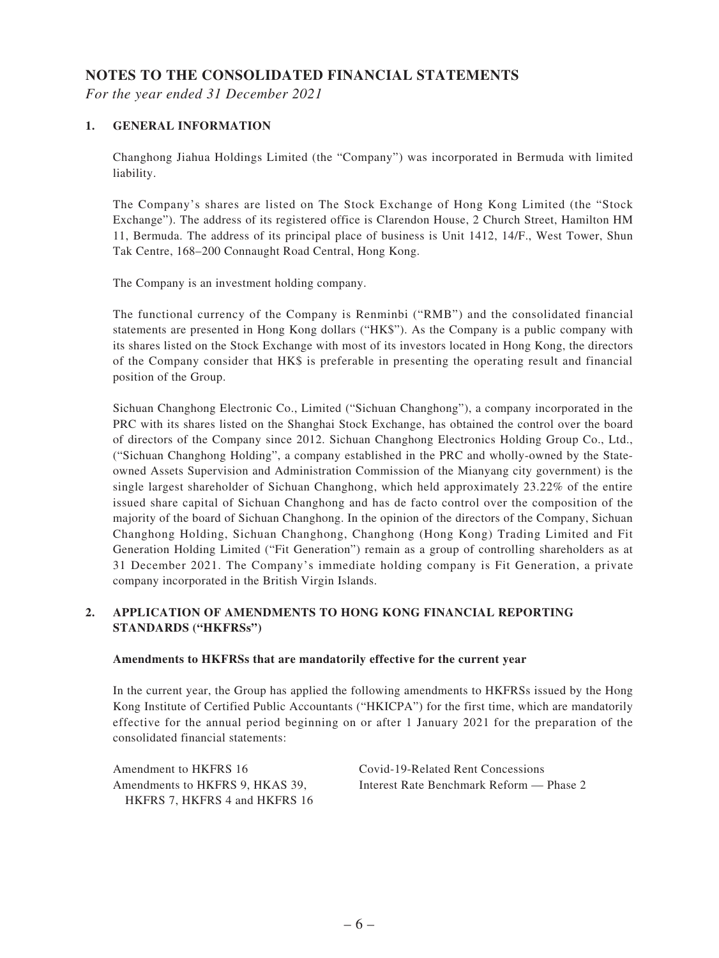### **NOTES TO THE CONSOLIDATED FINANCIAL STATEMENTS**

*For the year ended 31 December 2021*

#### **1. GENERAL INFORMATION**

Changhong Jiahua Holdings Limited (the "Company") was incorporated in Bermuda with limited liability.

The Company's shares are listed on The Stock Exchange of Hong Kong Limited (the "Stock Exchange"). The address of its registered office is Clarendon House, 2 Church Street, Hamilton HM 11, Bermuda. The address of its principal place of business is Unit 1412, 14/F., West Tower, Shun Tak Centre, 168–200 Connaught Road Central, Hong Kong.

The Company is an investment holding company.

The functional currency of the Company is Renminbi ("RMB") and the consolidated financial statements are presented in Hong Kong dollars ("HK\$"). As the Company is a public company with its shares listed on the Stock Exchange with most of its investors located in Hong Kong, the directors of the Company consider that HK\$ is preferable in presenting the operating result and financial position of the Group.

Sichuan Changhong Electronic Co., Limited ("Sichuan Changhong"), a company incorporated in the PRC with its shares listed on the Shanghai Stock Exchange, has obtained the control over the board of directors of the Company since 2012. Sichuan Changhong Electronics Holding Group Co., Ltd., ("Sichuan Changhong Holding", a company established in the PRC and wholly-owned by the Stateowned Assets Supervision and Administration Commission of the Mianyang city government) is the single largest shareholder of Sichuan Changhong, which held approximately 23.22% of the entire issued share capital of Sichuan Changhong and has de facto control over the composition of the majority of the board of Sichuan Changhong. In the opinion of the directors of the Company, Sichuan Changhong Holding, Sichuan Changhong, Changhong (Hong Kong) Trading Limited and Fit Generation Holding Limited ("Fit Generation") remain as a group of controlling shareholders as at 31 December 2021. The Company's immediate holding company is Fit Generation, a private company incorporated in the British Virgin Islands.

#### **2. APPLICATION OF AMENDMENTS TO HONG KONG FINANCIAL REPORTING STANDARDS ("HKFRSs")**

#### **Amendments to HKFRSs that are mandatorily effective for the current year**

In the current year, the Group has applied the following amendments to HKFRSs issued by the Hong Kong Institute of Certified Public Accountants ("HKICPA") for the first time, which are mandatorily effective for the annual period beginning on or after 1 January 2021 for the preparation of the consolidated financial statements:

Amendment to HKFRS 16 Covid-19-Related Rent Concessions Amendments to HKFRS 9, HKAS 39, HKFRS 7, HKFRS 4 and HKFRS 16

Interest Rate Benchmark Reform — Phase 2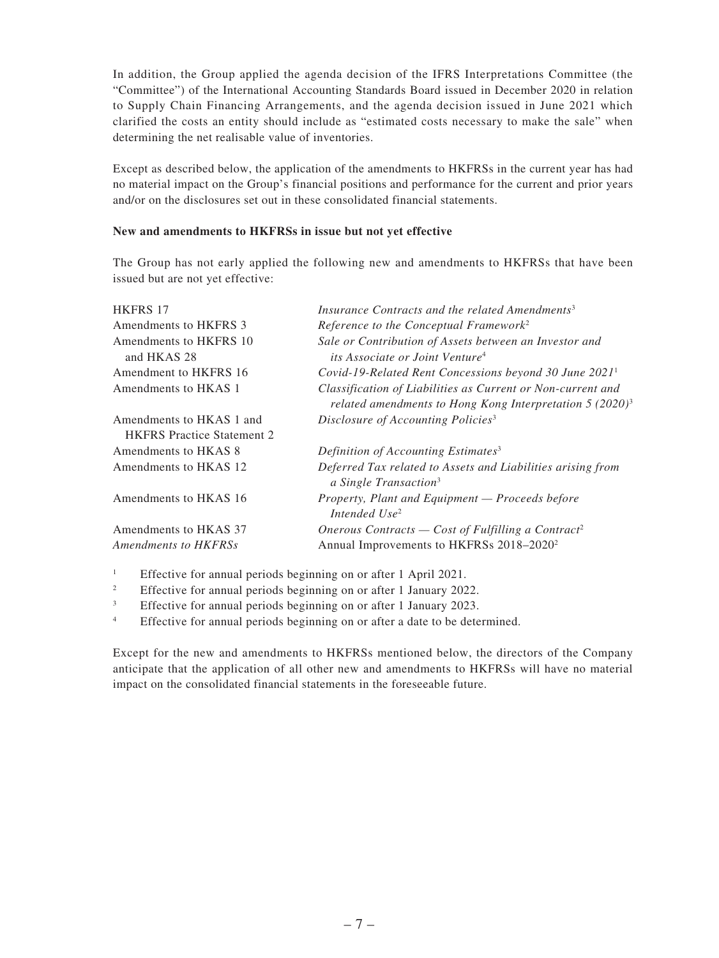In addition, the Group applied the agenda decision of the IFRS Interpretations Committee (the "Committee") of the International Accounting Standards Board issued in December 2020 in relation to Supply Chain Financing Arrangements, and the agenda decision issued in June 2021 which clarified the costs an entity should include as "estimated costs necessary to make the sale" when determining the net realisable value of inventories.

Except as described below, the application of the amendments to HKFRSs in the current year has had no material impact on the Group's financial positions and performance for the current and prior years and/or on the disclosures set out in these consolidated financial statements.

#### **New and amendments to HKFRSs in issue but not yet effective**

The Group has not early applied the following new and amendments to HKFRSs that have been issued but are not yet effective:

| <b>HKFRS 17</b>                                               | Insurance Contracts and the related Amendments <sup>3</sup>                                                                |
|---------------------------------------------------------------|----------------------------------------------------------------------------------------------------------------------------|
| Amendments to HKFRS 3                                         | Reference to the Conceptual Framework <sup>2</sup>                                                                         |
| Amendments to HKFRS 10<br>and HKAS 28                         | Sale or Contribution of Assets between an Investor and<br><i>its Associate or Joint Venture<sup>4</sup></i>                |
| Amendment to HKFRS 16                                         | Covid-19-Related Rent Concessions beyond 30 June $20211$                                                                   |
| Amendments to HKAS 1                                          | Classification of Liabilities as Current or Non-current and<br>related amendments to Hong Kong Interpretation $5 (2020)^3$ |
| Amendments to HKAS 1 and<br><b>HKFRS</b> Practice Statement 2 | Disclosure of Accounting Policies <sup>3</sup>                                                                             |
| Amendments to HKAS 8                                          | Definition of Accounting Estimates <sup>3</sup>                                                                            |
| Amendments to HKAS 12                                         | Deferred Tax related to Assets and Liabilities arising from<br>a Single Transaction <sup>3</sup>                           |
| Amendments to HKAS 16                                         | Property, Plant and Equipment - Proceeds before<br>Intended Use <sup>2</sup>                                               |
| Amendments to HKAS 37                                         | Onerous Contracts – Cost of Fulfilling a Contract <sup>2</sup>                                                             |
| <b>Amendments to HKFRSs</b>                                   | Annual Improvements to HKFRSs 2018-2020 <sup>2</sup>                                                                       |
|                                                               |                                                                                                                            |

<sup>1</sup> Effective for annual periods beginning on or after 1 April 2021.

<sup>2</sup> Effective for annual periods beginning on or after 1 January 2022.

<sup>3</sup> Effective for annual periods beginning on or after 1 January 2023.

<sup>4</sup> Effective for annual periods beginning on or after a date to be determined.

Except for the new and amendments to HKFRSs mentioned below, the directors of the Company anticipate that the application of all other new and amendments to HKFRSs will have no material impact on the consolidated financial statements in the foreseeable future.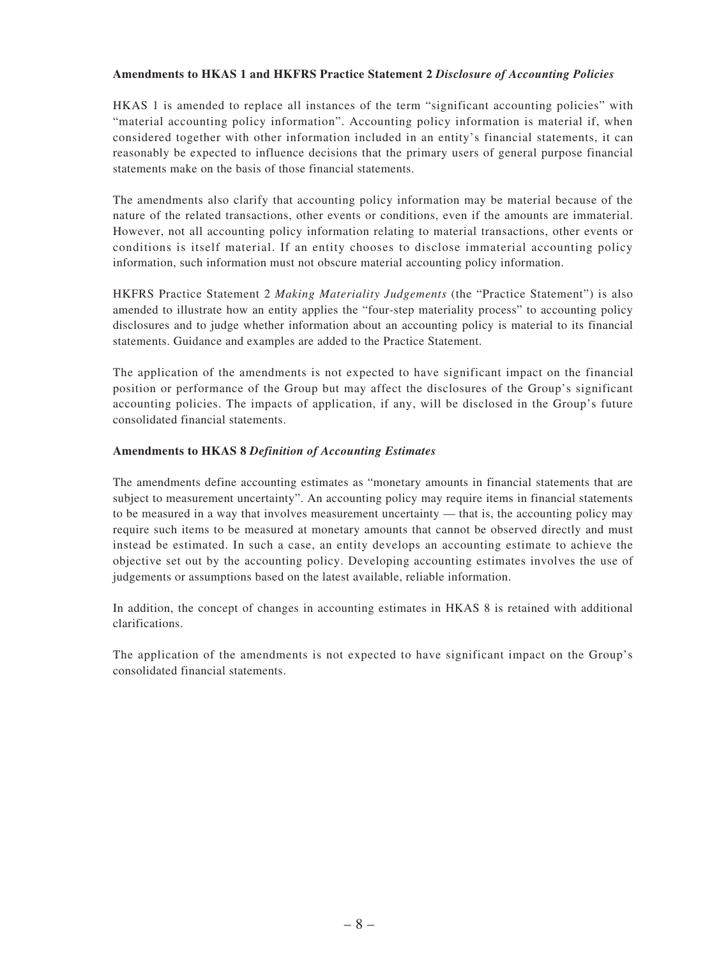#### **Amendments to HKAS 1 and HKFRS Practice Statement 2** *Disclosure of Accounting Policies*

HKAS 1 is amended to replace all instances of the term "significant accounting policies" with "material accounting policy information". Accounting policy information is material if, when considered together with other information included in an entity's financial statements, it can reasonably be expected to influence decisions that the primary users of general purpose financial statements make on the basis of those financial statements.

The amendments also clarify that accounting policy information may be material because of the nature of the related transactions, other events or conditions, even if the amounts are immaterial. However, not all accounting policy information relating to material transactions, other events or conditions is itself material. If an entity chooses to disclose immaterial accounting policy information, such information must not obscure material accounting policy information.

HKFRS Practice Statement 2 *Making Materiality Judgements* (the "Practice Statement") is also amended to illustrate how an entity applies the "four-step materiality process" to accounting policy disclosures and to judge whether information about an accounting policy is material to its financial statements. Guidance and examples are added to the Practice Statement.

The application of the amendments is not expected to have significant impact on the financial position or performance of the Group but may affect the disclosures of the Group's significant accounting policies. The impacts of application, if any, will be disclosed in the Group's future consolidated financial statements.

#### **Amendments to HKAS 8** *Definition of Accounting Estimates*

The amendments define accounting estimates as "monetary amounts in financial statements that are subject to measurement uncertainty". An accounting policy may require items in financial statements to be measured in a way that involves measurement uncertainty — that is, the accounting policy may require such items to be measured at monetary amounts that cannot be observed directly and must instead be estimated. In such a case, an entity develops an accounting estimate to achieve the objective set out by the accounting policy. Developing accounting estimates involves the use of judgements or assumptions based on the latest available, reliable information.

In addition, the concept of changes in accounting estimates in HKAS 8 is retained with additional clarifications.

The application of the amendments is not expected to have significant impact on the Group's consolidated financial statements.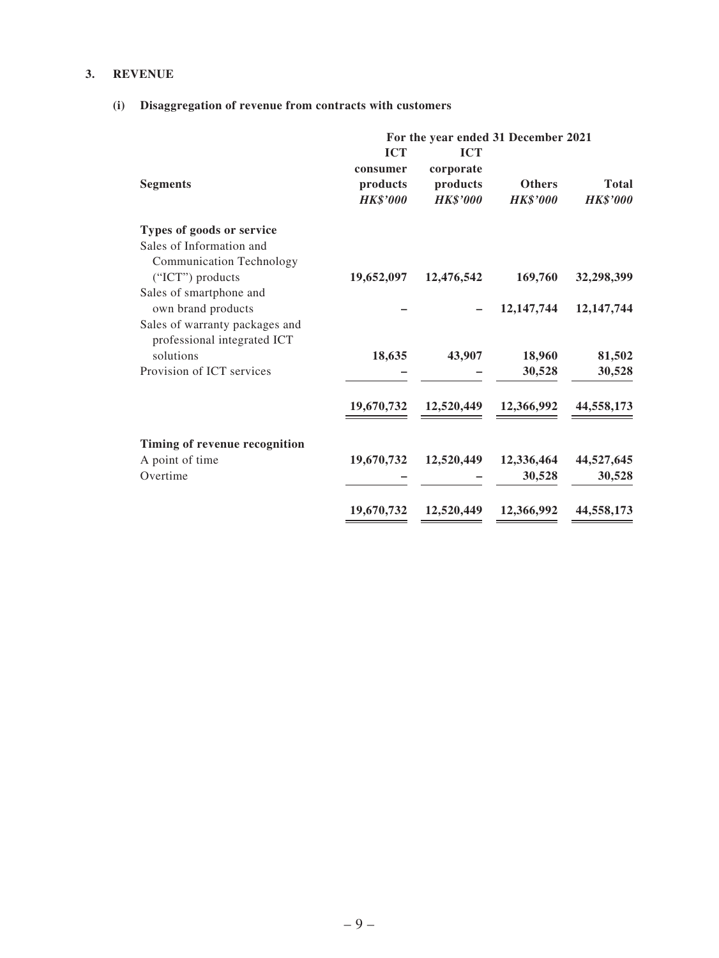#### **3. REVENUE**

### **(i) Disaggregation of revenue from contracts with customers**

|                                                                                 | For the year ended 31 December 2021                   |                                                        |                                  |                                 |  |
|---------------------------------------------------------------------------------|-------------------------------------------------------|--------------------------------------------------------|----------------------------------|---------------------------------|--|
| <b>Segments</b>                                                                 | <b>ICT</b><br>consumer<br>products<br><b>HK\$'000</b> | <b>ICT</b><br>corporate<br>products<br><b>HK\$'000</b> | <b>Others</b><br><b>HK\$'000</b> | <b>Total</b><br><b>HK\$'000</b> |  |
| Types of goods or service                                                       |                                                       |                                                        |                                  |                                 |  |
| Sales of Information and<br><b>Communication Technology</b>                     |                                                       |                                                        |                                  |                                 |  |
| ("ICT") products                                                                | 19,652,097                                            | 12,476,542                                             | 169,760                          | 32,298,399                      |  |
| Sales of smartphone and<br>own brand products<br>Sales of warranty packages and |                                                       |                                                        | 12, 147, 744                     | 12, 147, 744                    |  |
| professional integrated ICT<br>solutions                                        | 18,635                                                | 43,907                                                 | 18,960                           | 81,502                          |  |
| Provision of ICT services                                                       |                                                       |                                                        | 30,528                           | 30,528                          |  |
|                                                                                 |                                                       |                                                        |                                  |                                 |  |
|                                                                                 | 19,670,732                                            | 12,520,449                                             | 12,366,992                       | 44,558,173                      |  |
| Timing of revenue recognition                                                   |                                                       |                                                        |                                  |                                 |  |
| A point of time                                                                 | 19,670,732                                            | 12,520,449                                             | 12,336,464                       | 44,527,645                      |  |
| Overtime                                                                        |                                                       |                                                        | 30,528                           | 30,528                          |  |
|                                                                                 |                                                       |                                                        |                                  |                                 |  |
|                                                                                 | 19,670,732                                            | 12,520,449                                             | 12,366,992                       | 44,558,173                      |  |
|                                                                                 |                                                       |                                                        |                                  |                                 |  |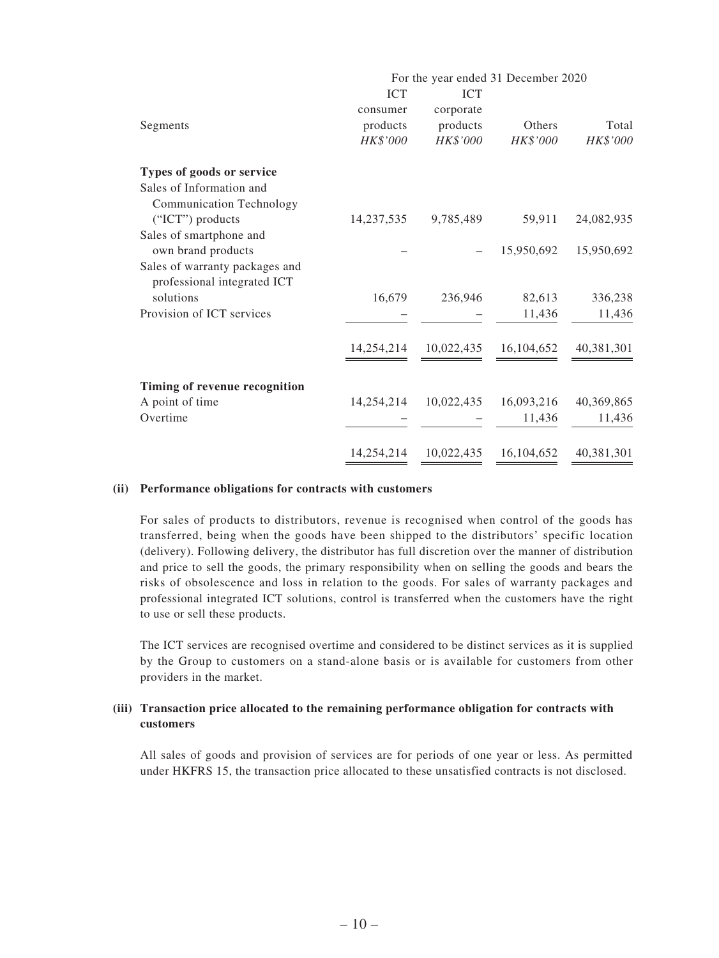|                                                               | For the year ended 31 December 2020 |            |            |            |  |
|---------------------------------------------------------------|-------------------------------------|------------|------------|------------|--|
|                                                               | <b>ICT</b>                          | <b>ICT</b> |            |            |  |
|                                                               | consumer                            | corporate  |            |            |  |
| Segments                                                      | products                            | products   | Others     | Total      |  |
|                                                               | HK\$'000                            | HK\$'000   | HK\$'000   | HK\$'000   |  |
| Types of goods or service                                     |                                     |            |            |            |  |
| Sales of Information and                                      |                                     |            |            |            |  |
| <b>Communication Technology</b>                               |                                     |            |            |            |  |
| ("ICT") products                                              | 14,237,535                          | 9,785,489  | 59,911     | 24,082,935 |  |
| Sales of smartphone and                                       |                                     |            |            |            |  |
| own brand products                                            |                                     |            | 15,950,692 | 15,950,692 |  |
| Sales of warranty packages and<br>professional integrated ICT |                                     |            |            |            |  |
| solutions                                                     | 16,679                              | 236,946    | 82,613     | 336,238    |  |
| Provision of ICT services                                     |                                     |            | 11,436     | 11,436     |  |
|                                                               |                                     |            |            |            |  |
|                                                               | 14,254,214                          | 10,022,435 | 16,104,652 | 40,381,301 |  |
|                                                               |                                     |            |            |            |  |
| Timing of revenue recognition                                 |                                     |            |            |            |  |
| A point of time                                               | 14,254,214                          | 10,022,435 | 16,093,216 | 40,369,865 |  |
| Overtime                                                      |                                     |            | 11,436     | 11,436     |  |
|                                                               |                                     |            |            |            |  |
|                                                               | 14,254,214                          | 10,022,435 | 16,104,652 | 40,381,301 |  |

#### **(ii) Performance obligations for contracts with customers**

For sales of products to distributors, revenue is recognised when control of the goods has transferred, being when the goods have been shipped to the distributors' specific location (delivery). Following delivery, the distributor has full discretion over the manner of distribution and price to sell the goods, the primary responsibility when on selling the goods and bears the risks of obsolescence and loss in relation to the goods. For sales of warranty packages and professional integrated ICT solutions, control is transferred when the customers have the right to use or sell these products.

The ICT services are recognised overtime and considered to be distinct services as it is supplied by the Group to customers on a stand-alone basis or is available for customers from other providers in the market.

#### **(iii) Transaction price allocated to the remaining performance obligation for contracts with customers**

All sales of goods and provision of services are for periods of one year or less. As permitted under HKFRS 15, the transaction price allocated to these unsatisfied contracts is not disclosed.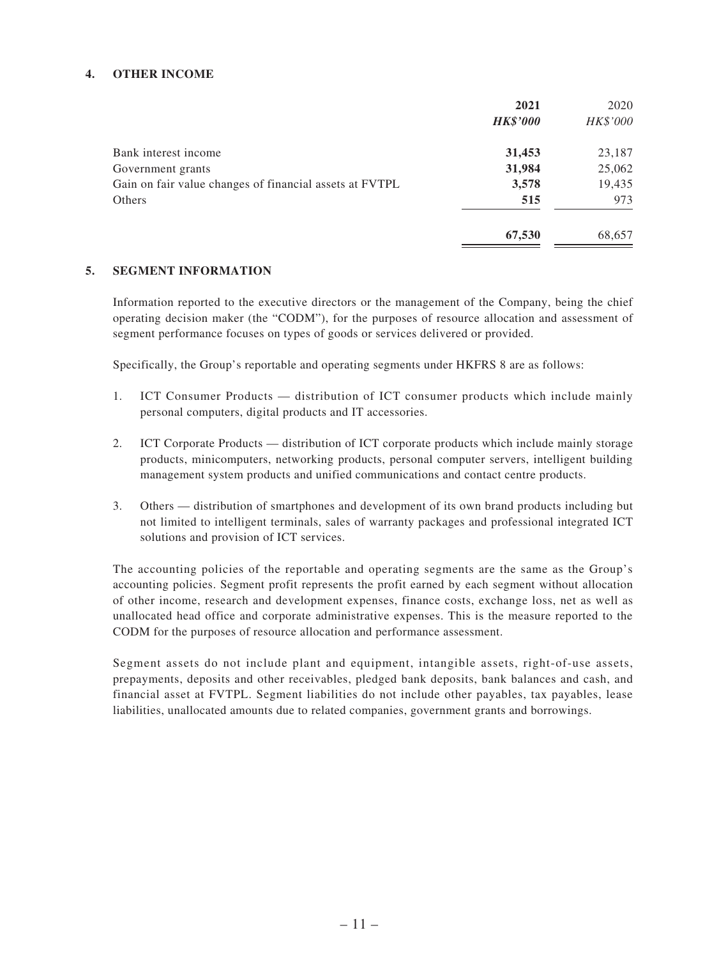#### **4. OTHER INCOME**

|                                                         | 2021            | 2020     |
|---------------------------------------------------------|-----------------|----------|
|                                                         | <b>HK\$'000</b> | HK\$'000 |
| Bank interest income                                    | 31,453          | 23,187   |
| Government grants                                       | 31,984          | 25,062   |
| Gain on fair value changes of financial assets at FVTPL | 3,578           | 19,435   |
| Others                                                  | 515             | 973      |
|                                                         | 67,530          | 68,657   |

#### **5. SEGMENT INFORMATION**

Information reported to the executive directors or the management of the Company, being the chief operating decision maker (the "CODM"), for the purposes of resource allocation and assessment of segment performance focuses on types of goods or services delivered or provided.

Specifically, the Group's reportable and operating segments under HKFRS 8 are as follows:

- 1. ICT Consumer Products distribution of ICT consumer products which include mainly personal computers, digital products and IT accessories.
- 2. ICT Corporate Products distribution of ICT corporate products which include mainly storage products, minicomputers, networking products, personal computer servers, intelligent building management system products and unified communications and contact centre products.
- 3. Others distribution of smartphones and development of its own brand products including but not limited to intelligent terminals, sales of warranty packages and professional integrated ICT solutions and provision of ICT services.

The accounting policies of the reportable and operating segments are the same as the Group's accounting policies. Segment profit represents the profit earned by each segment without allocation of other income, research and development expenses, finance costs, exchange loss, net as well as unallocated head office and corporate administrative expenses. This is the measure reported to the CODM for the purposes of resource allocation and performance assessment.

Segment assets do not include plant and equipment, intangible assets, right-of-use assets, prepayments, deposits and other receivables, pledged bank deposits, bank balances and cash, and financial asset at FVTPL. Segment liabilities do not include other payables, tax payables, lease liabilities, unallocated amounts due to related companies, government grants and borrowings.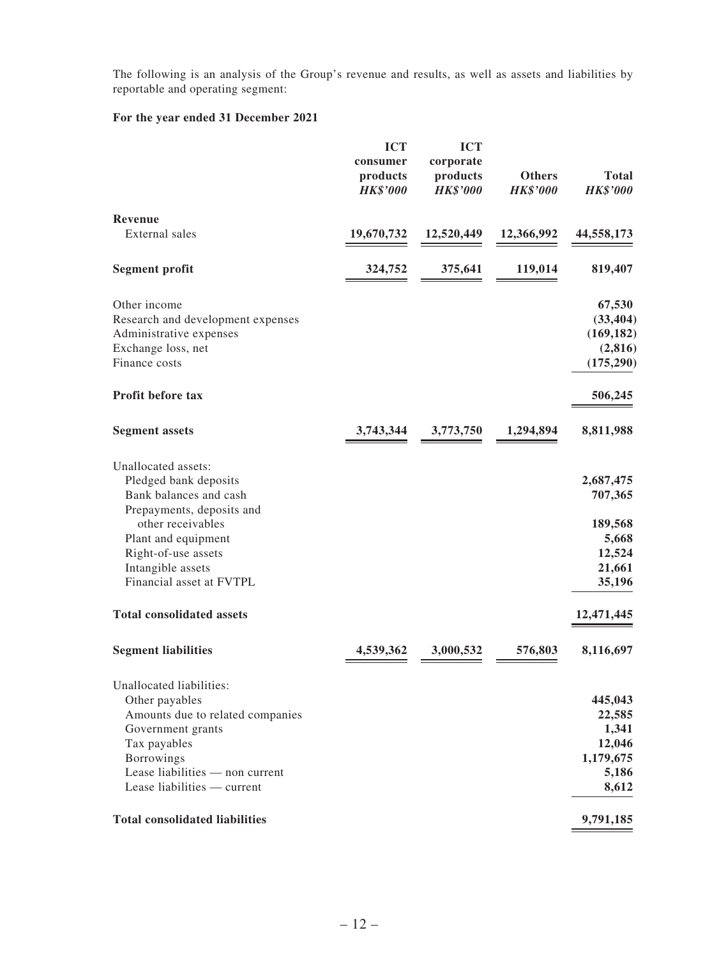The following is an analysis of the Group's revenue and results, as well as assets and liabilities by reportable and operating segment:

|                                                                                                                                                                                                                         | <b>ICT</b><br>consumer<br>products<br><b>HK\$'000</b> | <b>ICT</b><br>corporate<br>products<br><b>HK\$'000</b> | <b>Others</b><br><b>HK\$'000</b> | <b>Total</b><br><b>HK\$'000</b>                                        |
|-------------------------------------------------------------------------------------------------------------------------------------------------------------------------------------------------------------------------|-------------------------------------------------------|--------------------------------------------------------|----------------------------------|------------------------------------------------------------------------|
| <b>Revenue</b><br><b>External</b> sales                                                                                                                                                                                 | 19,670,732                                            | 12,520,449                                             | 12,366,992                       | 44,558,173                                                             |
| <b>Segment profit</b>                                                                                                                                                                                                   | 324,752                                               | 375,641                                                | 119,014                          | 819,407                                                                |
| Other income<br>Research and development expenses<br>Administrative expenses<br>Exchange loss, net<br>Finance costs                                                                                                     |                                                       |                                                        |                                  | 67,530<br>(33, 404)<br>(169, 182)<br>(2, 816)<br>(175, 290)            |
| Profit before tax                                                                                                                                                                                                       |                                                       |                                                        |                                  | 506,245                                                                |
| <b>Segment assets</b>                                                                                                                                                                                                   | 3,743,344                                             | 3,773,750                                              | 1,294,894                        | 8,811,988                                                              |
| Unallocated assets:<br>Pledged bank deposits<br>Bank balances and cash<br>Prepayments, deposits and<br>other receivables<br>Plant and equipment<br>Right-of-use assets<br>Intangible assets<br>Financial asset at FVTPL |                                                       |                                                        |                                  | 2,687,475<br>707,365<br>189,568<br>5,668<br>12,524<br>21,661<br>35,196 |
| <b>Total consolidated assets</b>                                                                                                                                                                                        |                                                       |                                                        |                                  | 12,471,445                                                             |
| <b>Segment liabilities</b>                                                                                                                                                                                              | 4,539,362                                             | 3,000,532                                              | 576,803                          | 8,116,697                                                              |
| Unallocated liabilities:<br>Other payables<br>Amounts due to related companies<br>Government grants<br>Tax payables<br>Borrowings<br>Lease liabilities — non current<br>Lease liabilities - current                     |                                                       |                                                        |                                  | 445,043<br>22,585<br>1,341<br>12,046<br>1,179,675<br>5,186<br>8,612    |
| <b>Total consolidated liabilities</b>                                                                                                                                                                                   |                                                       |                                                        |                                  | 9,791,185                                                              |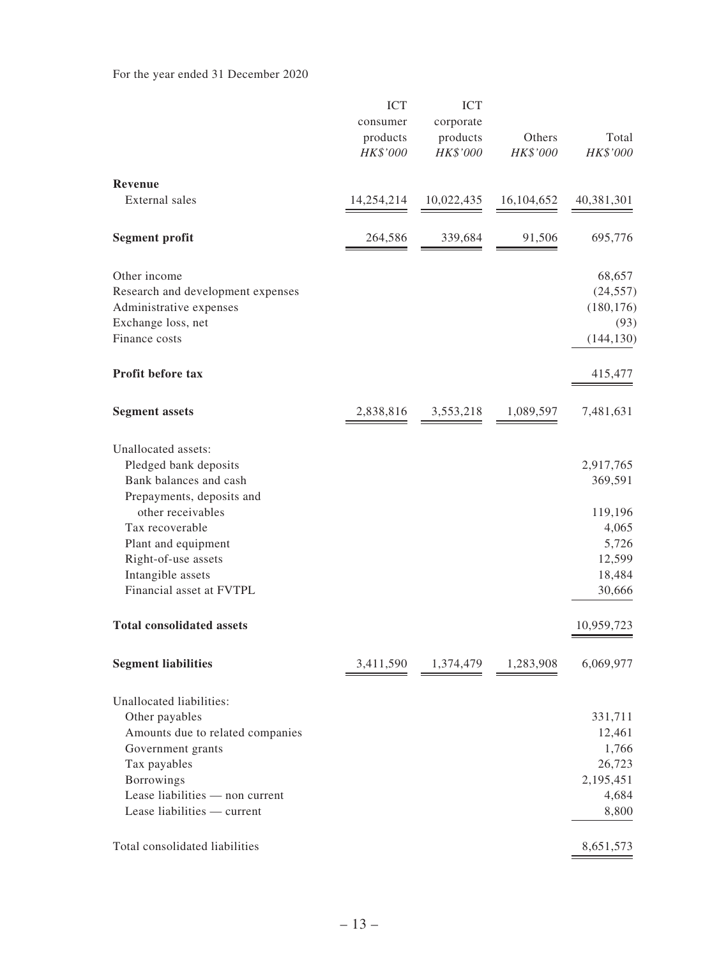|                                                       | <b>ICT</b><br>consumer<br>products<br>HK\$'000 | <b>ICT</b><br>corporate<br>products<br>HK\$'000 | Others<br>HK\$'000 | Total<br>HK\$'000  |
|-------------------------------------------------------|------------------------------------------------|-------------------------------------------------|--------------------|--------------------|
| <b>Revenue</b><br>External sales                      |                                                |                                                 |                    |                    |
|                                                       | 14,254,214                                     | 10,022,435                                      | 16, 104, 652       | 40,381,301         |
| <b>Segment profit</b>                                 | 264,586                                        | 339,684                                         | 91,506             | 695,776            |
| Other income                                          |                                                |                                                 |                    | 68,657             |
| Research and development expenses                     |                                                |                                                 |                    | (24, 557)          |
| Administrative expenses                               |                                                |                                                 |                    | (180, 176)         |
| Exchange loss, net<br>Finance costs                   |                                                |                                                 |                    | (93)<br>(144, 130) |
| Profit before tax                                     |                                                |                                                 |                    | 415,477            |
| <b>Segment assets</b>                                 | 2,838,816                                      | 3,553,218                                       | 1,089,597          | 7,481,631          |
| Unallocated assets:                                   |                                                |                                                 |                    |                    |
| Pledged bank deposits                                 |                                                |                                                 |                    | 2,917,765          |
| Bank balances and cash<br>Prepayments, deposits and   |                                                |                                                 |                    | 369,591            |
| other receivables                                     |                                                |                                                 |                    | 119,196            |
| Tax recoverable                                       |                                                |                                                 |                    | 4,065              |
| Plant and equipment                                   |                                                |                                                 |                    | 5,726              |
| Right-of-use assets<br>Intangible assets              |                                                |                                                 |                    | 12,599<br>18,484   |
| Financial asset at FVTPL                              |                                                |                                                 |                    | 30,666             |
| <b>Total consolidated assets</b>                      |                                                |                                                 |                    | 10,959,723         |
| <b>Segment liabilities</b>                            | 3,411,590                                      | 1,374,479                                       | 1,283,908          | 6,069,977          |
| Unallocated liabilities:                              |                                                |                                                 |                    |                    |
| Other payables                                        |                                                |                                                 |                    | 331,711            |
| Amounts due to related companies<br>Government grants |                                                |                                                 |                    | 12,461<br>1,766    |
| Tax payables                                          |                                                |                                                 |                    | 26,723             |
| Borrowings                                            |                                                |                                                 |                    | 2,195,451          |
| Lease liabilities - non current                       |                                                |                                                 |                    | 4,684              |
| Lease liabilities - current                           |                                                |                                                 |                    | 8,800              |
| Total consolidated liabilities                        |                                                |                                                 |                    | 8,651,573          |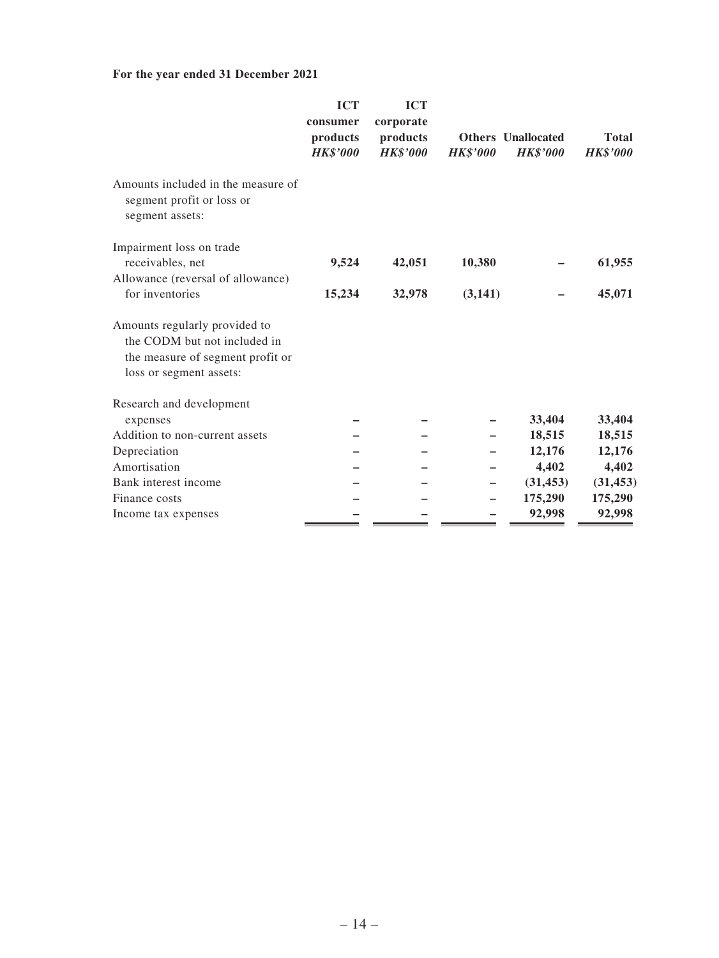|                                                                                                                              | <b>ICT</b><br>consumer<br>products<br><b>HK\$'000</b> | <b>ICT</b><br>corporate<br>products<br><b>HK\$'000</b> | <b>HK\$'000</b> | <b>Others</b> Unallocated<br><b>HK\$'000</b> | <b>Total</b><br><b>HK\$'000</b> |
|------------------------------------------------------------------------------------------------------------------------------|-------------------------------------------------------|--------------------------------------------------------|-----------------|----------------------------------------------|---------------------------------|
| Amounts included in the measure of<br>segment profit or loss or<br>segment assets:                                           |                                                       |                                                        |                 |                                              |                                 |
| Impairment loss on trade                                                                                                     |                                                       |                                                        |                 |                                              |                                 |
| receivables, net                                                                                                             | 9,524                                                 | 42,051                                                 | 10,380          |                                              | 61,955                          |
| Allowance (reversal of allowance)<br>for inventories                                                                         | 15,234                                                | 32,978                                                 | (3,141)         |                                              | 45,071                          |
| Amounts regularly provided to<br>the CODM but not included in<br>the measure of segment profit or<br>loss or segment assets: |                                                       |                                                        |                 |                                              |                                 |
| Research and development                                                                                                     |                                                       |                                                        |                 |                                              |                                 |
| expenses                                                                                                                     |                                                       |                                                        |                 | 33,404                                       | 33,404                          |
| Addition to non-current assets                                                                                               |                                                       |                                                        |                 | 18,515                                       | 18,515                          |
| Depreciation                                                                                                                 |                                                       |                                                        |                 | 12,176                                       | 12,176                          |
| Amortisation                                                                                                                 |                                                       |                                                        |                 | 4,402                                        | 4,402                           |
| Bank interest income                                                                                                         |                                                       |                                                        |                 | (31, 453)                                    | (31, 453)                       |
| Finance costs                                                                                                                |                                                       |                                                        |                 | 175,290                                      | 175,290                         |
| Income tax expenses                                                                                                          |                                                       |                                                        |                 | 92,998                                       | 92,998                          |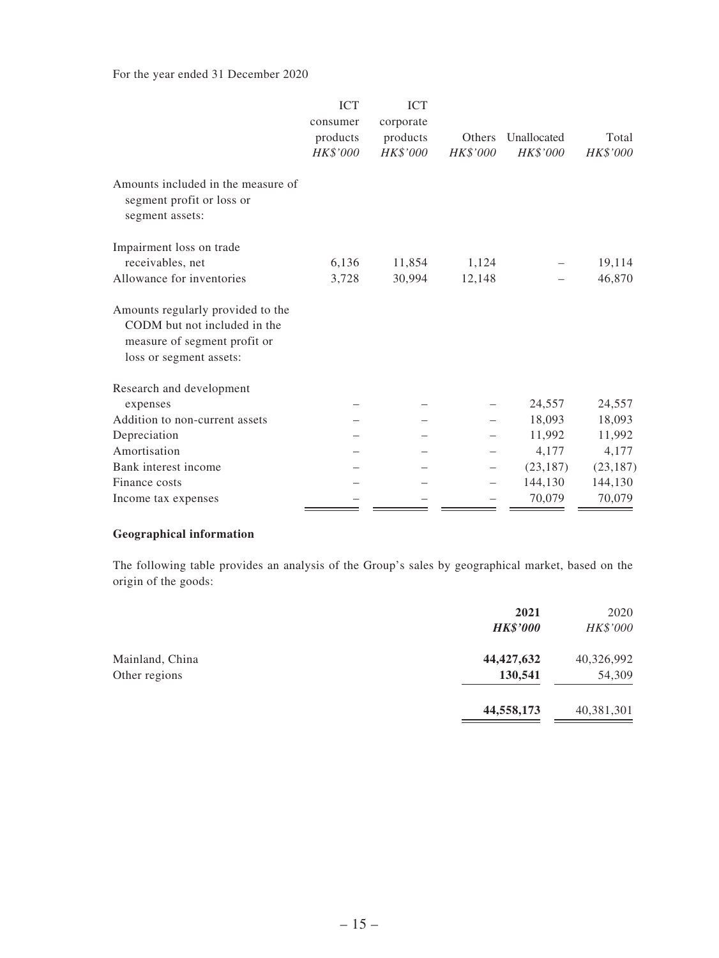For the year ended 31 December 2020

|                                                                                                                              | <b>ICT</b><br>consumer<br>products<br>HK\$'000 | <b>ICT</b><br>corporate<br>products<br>HK\$'000 | <b>Others</b><br>HK\$'000 | Unallocated<br>HK\$'000 | Total<br>HK\$'000 |
|------------------------------------------------------------------------------------------------------------------------------|------------------------------------------------|-------------------------------------------------|---------------------------|-------------------------|-------------------|
| Amounts included in the measure of<br>segment profit or loss or<br>segment assets:                                           |                                                |                                                 |                           |                         |                   |
| Impairment loss on trade                                                                                                     |                                                |                                                 |                           |                         |                   |
| receivables, net                                                                                                             | 6,136                                          | 11,854                                          | 1,124                     |                         | 19,114            |
| Allowance for inventories                                                                                                    | 3,728                                          | 30,994                                          | 12,148                    |                         | 46,870            |
| Amounts regularly provided to the<br>CODM but not included in the<br>measure of segment profit or<br>loss or segment assets: |                                                |                                                 |                           |                         |                   |
| Research and development                                                                                                     |                                                |                                                 |                           |                         |                   |
| expenses                                                                                                                     |                                                |                                                 |                           | 24,557                  | 24,557            |
| Addition to non-current assets                                                                                               |                                                |                                                 |                           | 18,093                  | 18,093            |
| Depreciation                                                                                                                 |                                                |                                                 |                           | 11,992                  | 11,992            |
| Amortisation                                                                                                                 |                                                |                                                 |                           | 4,177                   | 4,177             |
| Bank interest income                                                                                                         |                                                |                                                 |                           | (23, 187)               | (23, 187)         |
| Finance costs                                                                                                                |                                                |                                                 |                           | 144,130                 | 144,130           |
| Income tax expenses                                                                                                          |                                                |                                                 |                           | 70,079                  | 70,079            |

### **Geographical information**

The following table provides an analysis of the Group's sales by geographical market, based on the origin of the goods:

|                                  | 2021<br><b>HK\$'000</b> | 2020<br>HK\$'000     |
|----------------------------------|-------------------------|----------------------|
| Mainland, China<br>Other regions | 44, 427, 632<br>130,541 | 40,326,992<br>54,309 |
|                                  | 44,558,173              | 40,381,301           |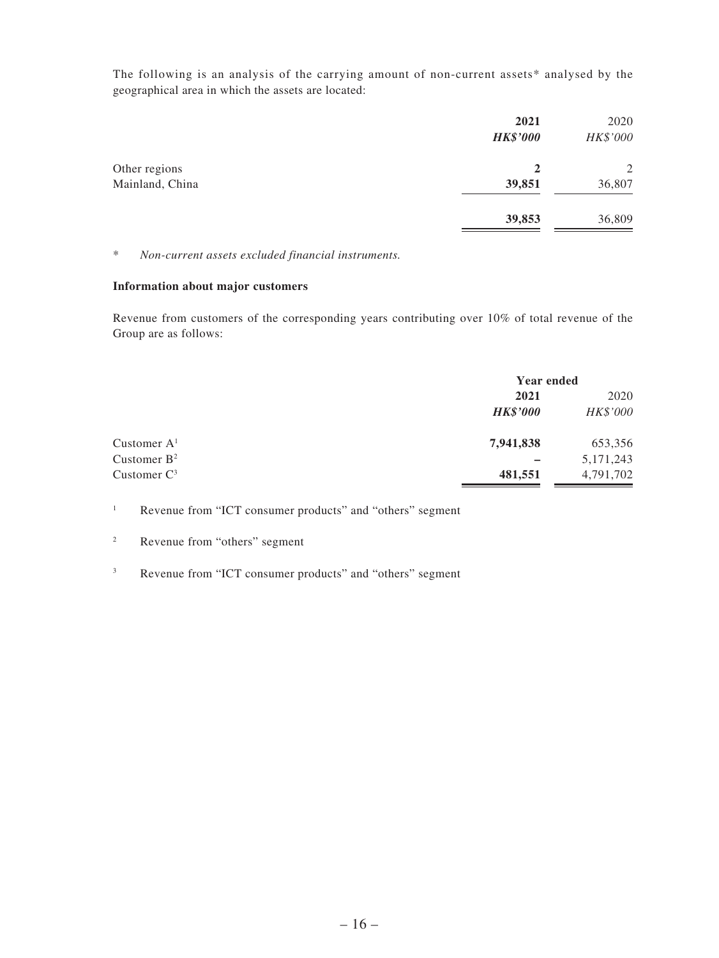The following is an analysis of the carrying amount of non-current assets\* analysed by the geographical area in which the assets are located:

|                 | 2021<br><b>HK\$'000</b> | 2020<br>HK\$'000 |
|-----------------|-------------------------|------------------|
| Other regions   | 2                       | 2                |
| Mainland, China | 39,851                  | 36,807           |
|                 | 39,853                  | 36,809           |

\* *Non-current assets excluded financial instruments.*

#### **Information about major customers**

Revenue from customers of the corresponding years contributing over 10% of total revenue of the Group are as follows:

|                |                 | <b>Year ended</b> |  |
|----------------|-----------------|-------------------|--|
|                | 2021            | 2020              |  |
|                | <b>HK\$'000</b> | HK\$'000          |  |
| Customer $A1$  | 7,941,838       | 653,356           |  |
| Customer $B^2$ |                 | 5, 171, 243       |  |
| Customer $C^3$ | 481,551         | 4,791,702         |  |

<sup>1</sup> Revenue from "ICT consumer products" and "others" segment

- <sup>2</sup> Revenue from "others" segment
- <sup>3</sup> Revenue from "ICT consumer products" and "others" segment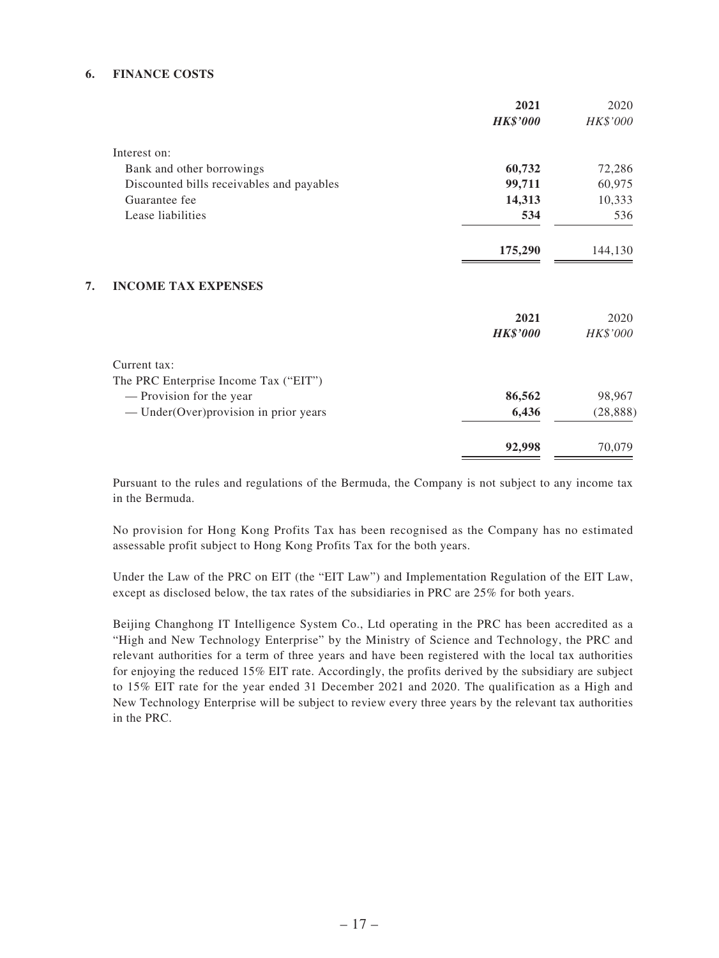#### **6. FINANCE COSTS**

|                                           | 2021            | 2020      |
|-------------------------------------------|-----------------|-----------|
|                                           | <b>HK\$'000</b> | HK\$'000  |
| Interest on:                              |                 |           |
| Bank and other borrowings                 | 60,732          | 72,286    |
| Discounted bills receivables and payables | 99,711          | 60,975    |
| Guarantee fee                             | 14,313          | 10,333    |
| Lease liabilities                         | 534             | 536       |
|                                           | 175,290         | 144,130   |
| <b>INCOME TAX EXPENSES</b><br>7.          |                 |           |
|                                           | 2021            | 2020      |
|                                           | <b>HK\$'000</b> | HK\$'000  |
| Current tax:                              |                 |           |
| The PRC Enterprise Income Tax ("EIT")     |                 |           |
| — Provision for the year                  | 86,562          | 98,967    |
| — Under(Over) provision in prior years    | 6,436           | (28, 888) |
|                                           | 92,998          | 70,079    |

Pursuant to the rules and regulations of the Bermuda, the Company is not subject to any income tax in the Bermuda.

No provision for Hong Kong Profits Tax has been recognised as the Company has no estimated assessable profit subject to Hong Kong Profits Tax for the both years.

Under the Law of the PRC on EIT (the "EIT Law") and Implementation Regulation of the EIT Law, except as disclosed below, the tax rates of the subsidiaries in PRC are 25% for both years.

Beijing Changhong IT Intelligence System Co., Ltd operating in the PRC has been accredited as a "High and New Technology Enterprise" by the Ministry of Science and Technology, the PRC and relevant authorities for a term of three years and have been registered with the local tax authorities for enjoying the reduced 15% EIT rate. Accordingly, the profits derived by the subsidiary are subject to 15% EIT rate for the year ended 31 December 2021 and 2020. The qualification as a High and New Technology Enterprise will be subject to review every three years by the relevant tax authorities in the PRC.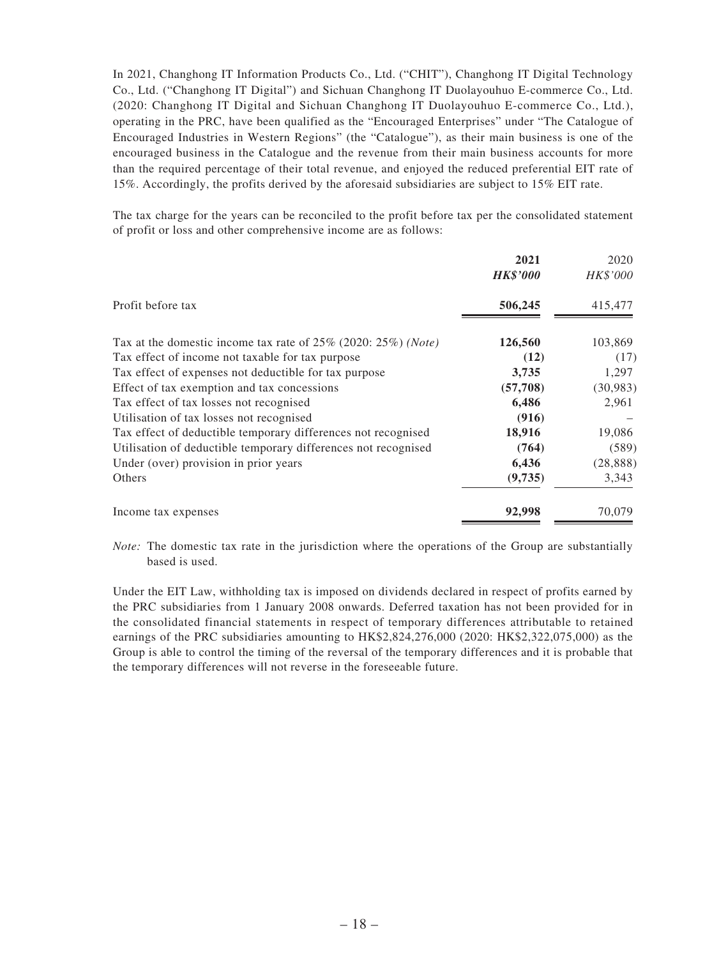In 2021, Changhong IT Information Products Co., Ltd. ("CHIT"), Changhong IT Digital Technology Co., Ltd. ("Changhong IT Digital") and Sichuan Changhong IT Duolayouhuo E-commerce Co., Ltd. (2020: Changhong IT Digital and Sichuan Changhong IT Duolayouhuo E-commerce Co., Ltd.), operating in the PRC, have been qualified as the "Encouraged Enterprises" under "The Catalogue of Encouraged Industries in Western Regions" (the "Catalogue"), as their main business is one of the encouraged business in the Catalogue and the revenue from their main business accounts for more than the required percentage of their total revenue, and enjoyed the reduced preferential EIT rate of 15%. Accordingly, the profits derived by the aforesaid subsidiaries are subject to 15% EIT rate.

The tax charge for the years can be reconciled to the profit before tax per the consolidated statement of profit or loss and other comprehensive income are as follows:

|                                                                  | 2021<br><b>HK\$'000</b> | 2020<br>HK\$'000 |
|------------------------------------------------------------------|-------------------------|------------------|
| Profit before tax                                                | 506,245                 | 415,477          |
| Tax at the domestic income tax rate of $25\%$ (2020: 25%) (Note) | 126,560                 | 103,869          |
| Tax effect of income not taxable for tax purpose                 | (12)                    | (17)             |
| Tax effect of expenses not deductible for tax purpose            | 3,735                   | 1,297            |
| Effect of tax exemption and tax concessions                      | (57,708)                | (30,983)         |
| Tax effect of tax losses not recognised                          | 6,486                   | 2,961            |
| Utilisation of tax losses not recognised                         | (916)                   |                  |
| Tax effect of deductible temporary differences not recognised    | 18,916                  | 19,086           |
| Utilisation of deductible temporary differences not recognised   | (764)                   | (589)            |
| Under (over) provision in prior years                            | 6,436                   | (28, 888)        |
| Others                                                           | (9,735)                 | 3,343            |
| Income tax expenses                                              | 92,998                  | 70,079           |

*Note:* The domestic tax rate in the jurisdiction where the operations of the Group are substantially based is used.

Under the EIT Law, withholding tax is imposed on dividends declared in respect of profits earned by the PRC subsidiaries from 1 January 2008 onwards. Deferred taxation has not been provided for in the consolidated financial statements in respect of temporary differences attributable to retained earnings of the PRC subsidiaries amounting to HK\$2,824,276,000 (2020: HK\$2,322,075,000) as the Group is able to control the timing of the reversal of the temporary differences and it is probable that the temporary differences will not reverse in the foreseeable future.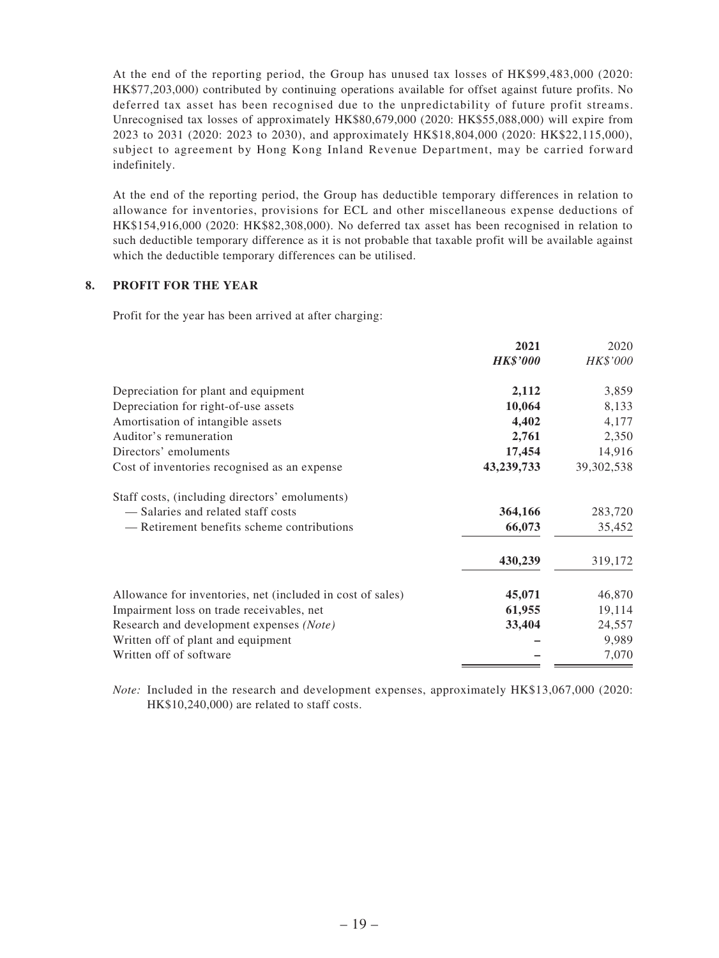At the end of the reporting period, the Group has unused tax losses of HK\$99,483,000 (2020: HK\$77,203,000) contributed by continuing operations available for offset against future profits. No deferred tax asset has been recognised due to the unpredictability of future profit streams. Unrecognised tax losses of approximately HK\$80,679,000 (2020: HK\$55,088,000) will expire from 2023 to 2031 (2020: 2023 to 2030), and approximately HK\$18,804,000 (2020: HK\$22,115,000), subject to agreement by Hong Kong Inland Revenue Department, may be carried forward indefinitely.

At the end of the reporting period, the Group has deductible temporary differences in relation to allowance for inventories, provisions for ECL and other miscellaneous expense deductions of HK\$154,916,000 (2020: HK\$82,308,000). No deferred tax asset has been recognised in relation to such deductible temporary difference as it is not probable that taxable profit will be available against which the deductible temporary differences can be utilised.

#### **8. PROFIT FOR THE YEAR**

Profit for the year has been arrived at after charging:

|                                                            | 2021            | 2020         |
|------------------------------------------------------------|-----------------|--------------|
|                                                            | <b>HK\$'000</b> | HK\$'000     |
| Depreciation for plant and equipment                       | 2,112           | 3,859        |
| Depreciation for right-of-use assets                       | 10,064          | 8,133        |
| Amortisation of intangible assets                          | 4,402           | 4,177        |
| Auditor's remuneration                                     | 2,761           | 2,350        |
| Directors' emoluments                                      | 17,454          | 14,916       |
| Cost of inventories recognised as an expense               | 43,239,733      | 39, 302, 538 |
| Staff costs, (including directors' emoluments)             |                 |              |
| - Salaries and related staff costs                         | 364,166         | 283,720      |
| — Retirement benefits scheme contributions                 | 66,073          | 35,452       |
|                                                            | 430,239         | 319,172      |
| Allowance for inventories, net (included in cost of sales) | 45,071          | 46,870       |
| Impairment loss on trade receivables, net                  | 61,955          | 19,114       |
| Research and development expenses (Note)                   | 33,404          | 24,557       |
| Written off of plant and equipment                         |                 | 9,989        |
| Written off of software                                    |                 | 7,070        |

*Note:* Included in the research and development expenses, approximately HK\$13,067,000 (2020: HK\$10,240,000) are related to staff costs.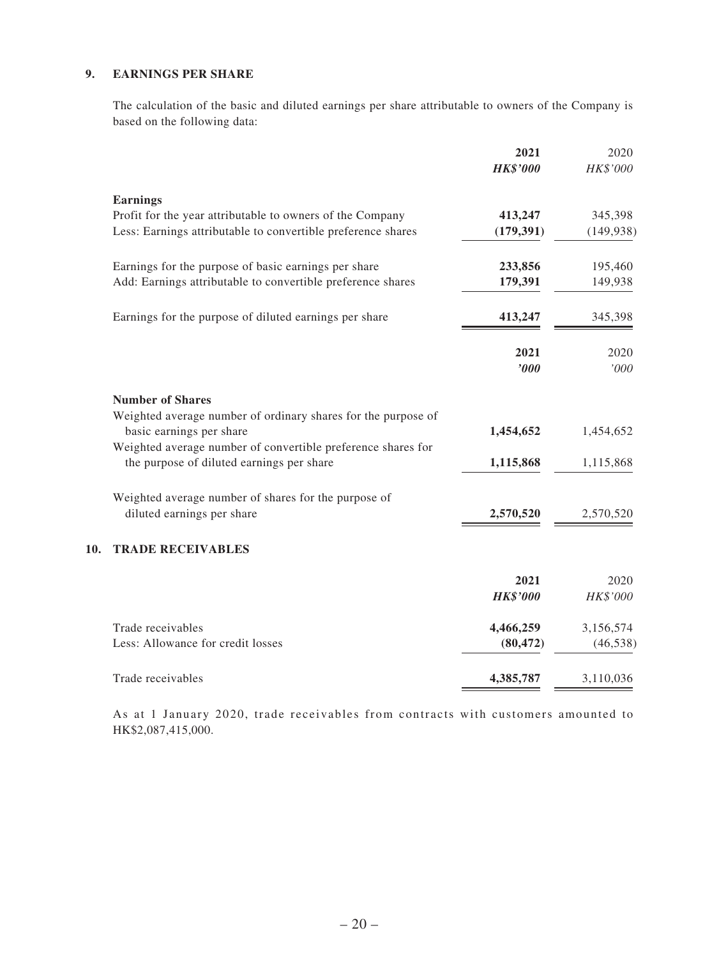#### **9. EARNINGS PER SHARE**

**10.** 

The calculation of the basic and diluted earnings per share attributable to owners of the Company is based on the following data:

|                                                                                           | 2021<br><b>HK\$'000</b> | 2020<br>HK\$'000 |
|-------------------------------------------------------------------------------------------|-------------------------|------------------|
| <b>Earnings</b>                                                                           |                         |                  |
| Profit for the year attributable to owners of the Company                                 | 413,247                 | 345,398          |
| Less: Earnings attributable to convertible preference shares                              | (179, 391)              | (149, 938)       |
| Earnings for the purpose of basic earnings per share                                      | 233,856                 | 195,460          |
| Add: Earnings attributable to convertible preference shares                               | 179,391                 | 149,938          |
| Earnings for the purpose of diluted earnings per share                                    | 413,247                 | 345,398          |
|                                                                                           | 2021                    | 2020             |
|                                                                                           | '000                    | '000             |
| <b>Number of Shares</b>                                                                   |                         |                  |
| Weighted average number of ordinary shares for the purpose of<br>basic earnings per share | 1,454,652               | 1,454,652        |
| Weighted average number of convertible preference shares for                              |                         |                  |
| the purpose of diluted earnings per share                                                 | 1,115,868               | 1,115,868        |
| Weighted average number of shares for the purpose of                                      |                         |                  |
| diluted earnings per share                                                                | 2,570,520               | 2,570,520        |
| <b>TRADE RECEIVABLES</b>                                                                  |                         |                  |
|                                                                                           | 2021                    | 2020             |
|                                                                                           | <b>HK\$'000</b>         | HK\$'000         |
| Trade receivables                                                                         | 4,466,259               | 3,156,574        |
| Less: Allowance for credit losses                                                         | (80, 472)               | (46, 538)        |
| Trade receivables                                                                         | 4,385,787               | 3,110,036        |

As at 1 January 2020, trade receivables from contracts with customers amounted to HK\$2,087,415,000.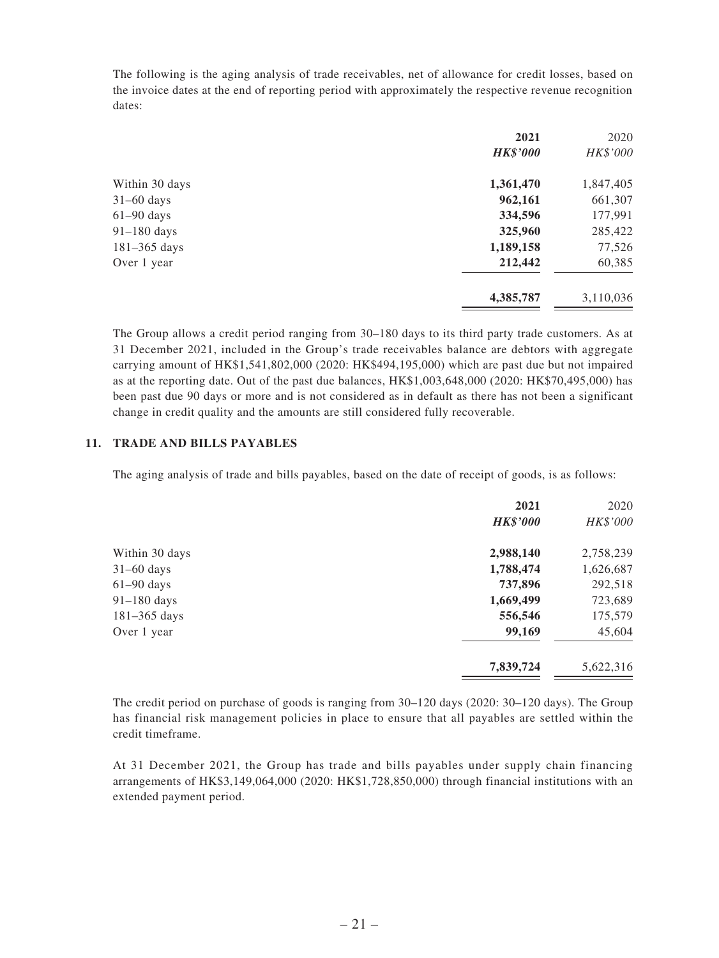The following is the aging analysis of trade receivables, net of allowance for credit losses, based on the invoice dates at the end of reporting period with approximately the respective revenue recognition dates:

| <b>HK\$'000</b> | HK\$'000  |
|-----------------|-----------|
|                 |           |
| 1,361,470       | 1,847,405 |
| 962,161         | 661,307   |
| 334,596         | 177,991   |
| 325,960         | 285,422   |
| 1,189,158       | 77,526    |
| 212,442         | 60,385    |
| 4,385,787       | 3,110,036 |
|                 |           |

The Group allows a credit period ranging from 30–180 days to its third party trade customers. As at 31 December 2021, included in the Group's trade receivables balance are debtors with aggregate carrying amount of HK\$1,541,802,000 (2020: HK\$494,195,000) which are past due but not impaired as at the reporting date. Out of the past due balances, HK\$1,003,648,000 (2020: HK\$70,495,000) has been past due 90 days or more and is not considered as in default as there has not been a significant change in credit quality and the amounts are still considered fully recoverable.

#### **11. TRADE AND BILLS PAYABLES**

The aging analysis of trade and bills payables, based on the date of receipt of goods, is as follows:

|                | 2021            | 2020      |
|----------------|-----------------|-----------|
|                | <b>HK\$'000</b> | HK\$'000  |
| Within 30 days | 2,988,140       | 2,758,239 |
| $31-60$ days   | 1,788,474       | 1,626,687 |
| $61-90$ days   | 737,896         | 292,518   |
| 91-180 days    | 1,669,499       | 723,689   |
| 181-365 days   | 556,546         | 175,579   |
| Over 1 year    | 99,169          | 45,604    |
|                | 7,839,724       | 5,622,316 |

The credit period on purchase of goods is ranging from 30–120 days (2020: 30–120 days). The Group has financial risk management policies in place to ensure that all payables are settled within the credit timeframe.

At 31 December 2021, the Group has trade and bills payables under supply chain financing arrangements of HK\$3,149,064,000 (2020: HK\$1,728,850,000) through financial institutions with an extended payment period.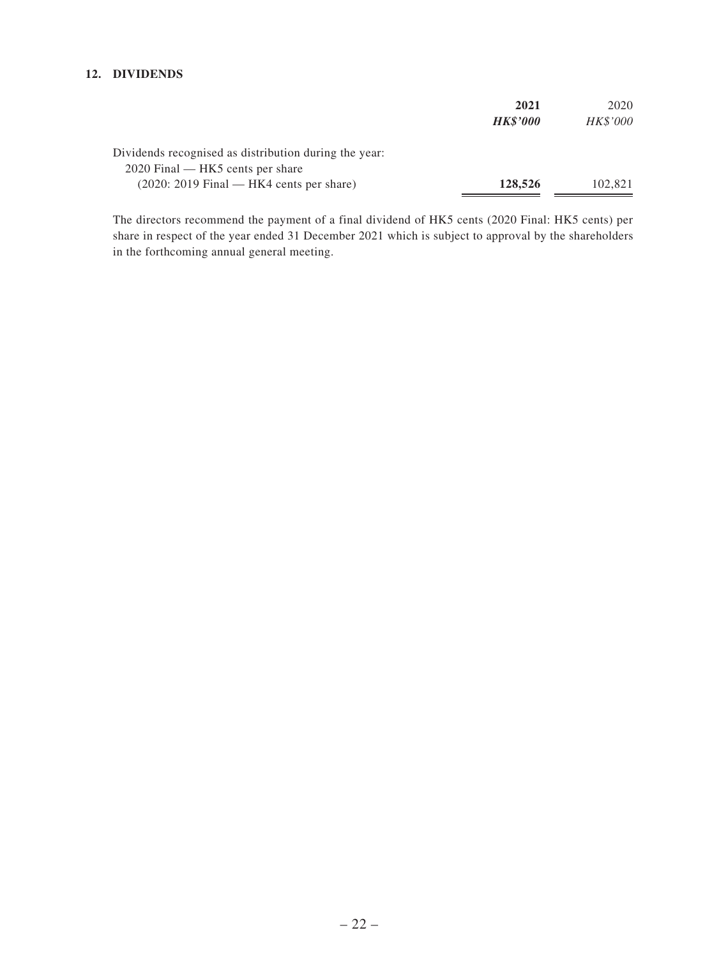#### **12. DIVIDENDS**

|                                                       | 2021            | 2020     |
|-------------------------------------------------------|-----------------|----------|
|                                                       | <b>HK\$'000</b> | HK\$'000 |
| Dividends recognised as distribution during the year: |                 |          |
| 2020 Final — HK5 cents per share                      |                 |          |
| $(2020: 2019$ Final — HK4 cents per share)            | 128,526         | 102,821  |

The directors recommend the payment of a final dividend of HK5 cents (2020 Final: HK5 cents) per share in respect of the year ended 31 December 2021 which is subject to approval by the shareholders in the forthcoming annual general meeting.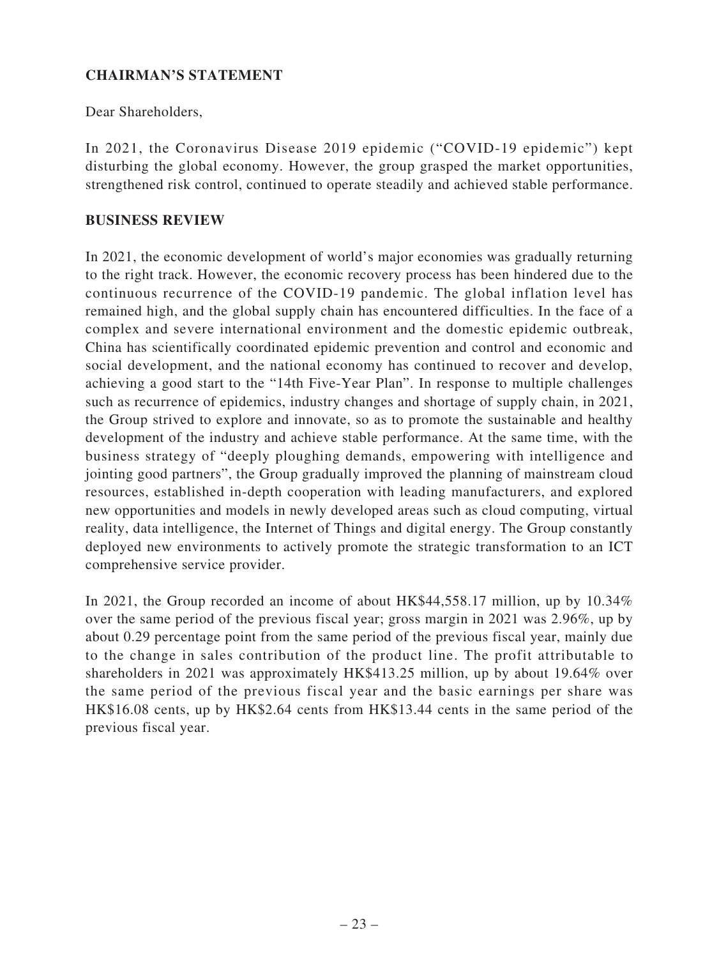# **CHAIRMAN'S STATEMENT**

Dear Shareholders,

In 2021, the Coronavirus Disease 2019 epidemic ("COVID-19 epidemic") kept disturbing the global economy. However, the group grasped the market opportunities, strengthened risk control, continued to operate steadily and achieved stable performance.

### **BUSINESS REVIEW**

In 2021, the economic development of world's major economies was gradually returning to the right track. However, the economic recovery process has been hindered due to the continuous recurrence of the COVID-19 pandemic. The global inflation level has remained high, and the global supply chain has encountered difficulties. In the face of a complex and severe international environment and the domestic epidemic outbreak, China has scientifically coordinated epidemic prevention and control and economic and social development, and the national economy has continued to recover and develop, achieving a good start to the "14th Five-Year Plan". In response to multiple challenges such as recurrence of epidemics, industry changes and shortage of supply chain, in 2021, the Group strived to explore and innovate, so as to promote the sustainable and healthy development of the industry and achieve stable performance. At the same time, with the business strategy of "deeply ploughing demands, empowering with intelligence and jointing good partners", the Group gradually improved the planning of mainstream cloud resources, established in-depth cooperation with leading manufacturers, and explored new opportunities and models in newly developed areas such as cloud computing, virtual reality, data intelligence, the Internet of Things and digital energy. The Group constantly deployed new environments to actively promote the strategic transformation to an ICT comprehensive service provider.

In 2021, the Group recorded an income of about HK\$44,558.17 million, up by 10.34% over the same period of the previous fiscal year; gross margin in 2021 was 2.96%, up by about 0.29 percentage point from the same period of the previous fiscal year, mainly due to the change in sales contribution of the product line. The profit attributable to shareholders in 2021 was approximately HK\$413.25 million, up by about 19.64% over the same period of the previous fiscal year and the basic earnings per share was HK\$16.08 cents, up by HK\$2.64 cents from HK\$13.44 cents in the same period of the previous fiscal year.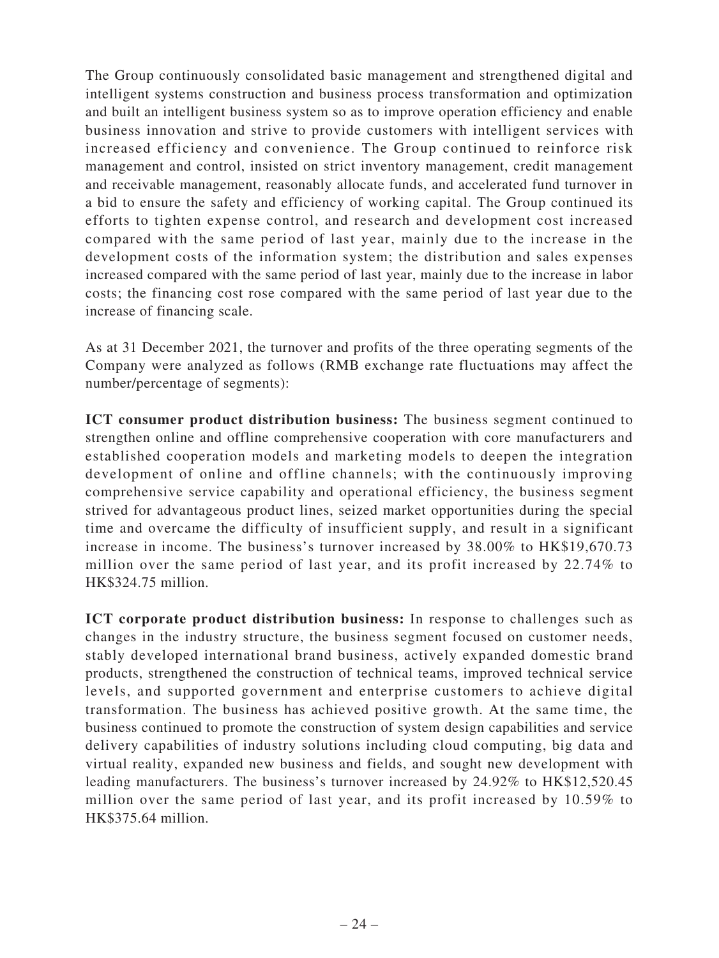The Group continuously consolidated basic management and strengthened digital and intelligent systems construction and business process transformation and optimization and built an intelligent business system so as to improve operation efficiency and enable business innovation and strive to provide customers with intelligent services with increased efficiency and convenience. The Group continued to reinforce risk management and control, insisted on strict inventory management, credit management and receivable management, reasonably allocate funds, and accelerated fund turnover in a bid to ensure the safety and efficiency of working capital. The Group continued its efforts to tighten expense control, and research and development cost increased compared with the same period of last year, mainly due to the increase in the development costs of the information system; the distribution and sales expenses increased compared with the same period of last year, mainly due to the increase in labor costs; the financing cost rose compared with the same period of last year due to the increase of financing scale.

As at 31 December 2021, the turnover and profits of the three operating segments of the Company were analyzed as follows (RMB exchange rate fluctuations may affect the number/percentage of segments):

**ICT consumer product distribution business:** The business segment continued to strengthen online and offline comprehensive cooperation with core manufacturers and established cooperation models and marketing models to deepen the integration development of online and offline channels; with the continuously improving comprehensive service capability and operational efficiency, the business segment strived for advantageous product lines, seized market opportunities during the special time and overcame the difficulty of insufficient supply, and result in a significant increase in income. The business's turnover increased by 38.00% to HK\$19,670.73 million over the same period of last year, and its profit increased by 22.74% to HK\$324.75 million.

**ICT corporate product distribution business:** In response to challenges such as changes in the industry structure, the business segment focused on customer needs, stably developed international brand business, actively expanded domestic brand products, strengthened the construction of technical teams, improved technical service levels, and supported government and enterprise customers to achieve digital transformation. The business has achieved positive growth. At the same time, the business continued to promote the construction of system design capabilities and service delivery capabilities of industry solutions including cloud computing, big data and virtual reality, expanded new business and fields, and sought new development with leading manufacturers. The business's turnover increased by 24.92% to HK\$12,520.45 million over the same period of last year, and its profit increased by 10.59% to HK\$375.64 million.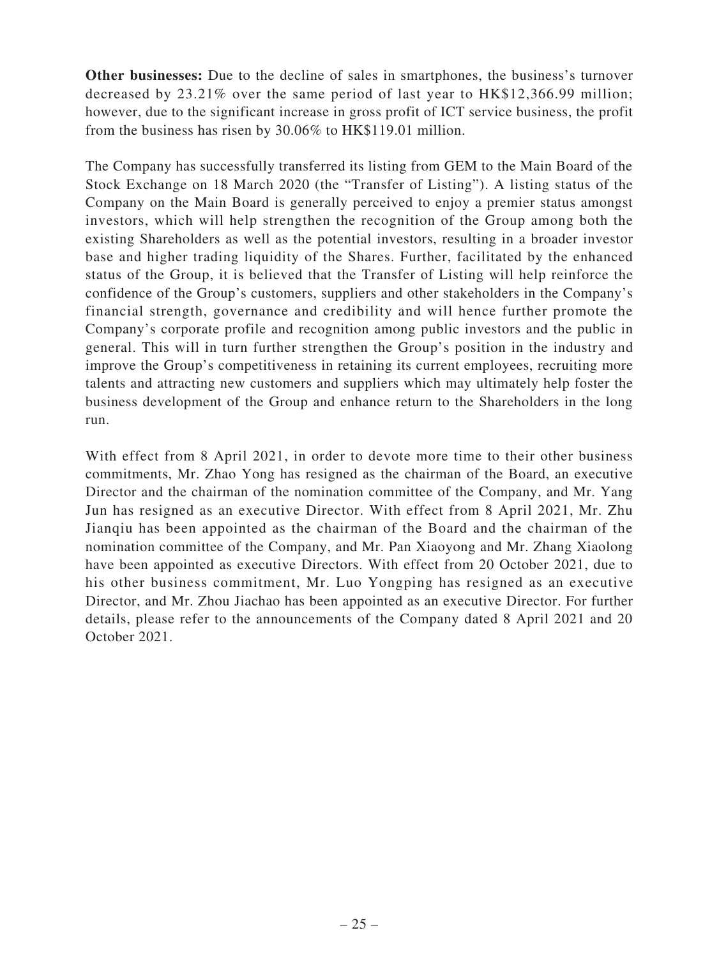**Other businesses:** Due to the decline of sales in smartphones, the business's turnover decreased by 23.21% over the same period of last year to HK\$12,366.99 million; however, due to the significant increase in gross profit of ICT service business, the profit from the business has risen by 30.06% to HK\$119.01 million.

The Company has successfully transferred its listing from GEM to the Main Board of the Stock Exchange on 18 March 2020 (the "Transfer of Listing"). A listing status of the Company on the Main Board is generally perceived to enjoy a premier status amongst investors, which will help strengthen the recognition of the Group among both the existing Shareholders as well as the potential investors, resulting in a broader investor base and higher trading liquidity of the Shares. Further, facilitated by the enhanced status of the Group, it is believed that the Transfer of Listing will help reinforce the confidence of the Group's customers, suppliers and other stakeholders in the Company's financial strength, governance and credibility and will hence further promote the Company's corporate profile and recognition among public investors and the public in general. This will in turn further strengthen the Group's position in the industry and improve the Group's competitiveness in retaining its current employees, recruiting more talents and attracting new customers and suppliers which may ultimately help foster the business development of the Group and enhance return to the Shareholders in the long run.

With effect from 8 April 2021, in order to devote more time to their other business commitments, Mr. Zhao Yong has resigned as the chairman of the Board, an executive Director and the chairman of the nomination committee of the Company, and Mr. Yang Jun has resigned as an executive Director. With effect from 8 April 2021, Mr. Zhu Jianqiu has been appointed as the chairman of the Board and the chairman of the nomination committee of the Company, and Mr. Pan Xiaoyong and Mr. Zhang Xiaolong have been appointed as executive Directors. With effect from 20 October 2021, due to his other business commitment, Mr. Luo Yongping has resigned as an executive Director, and Mr. Zhou Jiachao has been appointed as an executive Director. For further details, please refer to the announcements of the Company dated 8 April 2021 and 20 October 2021.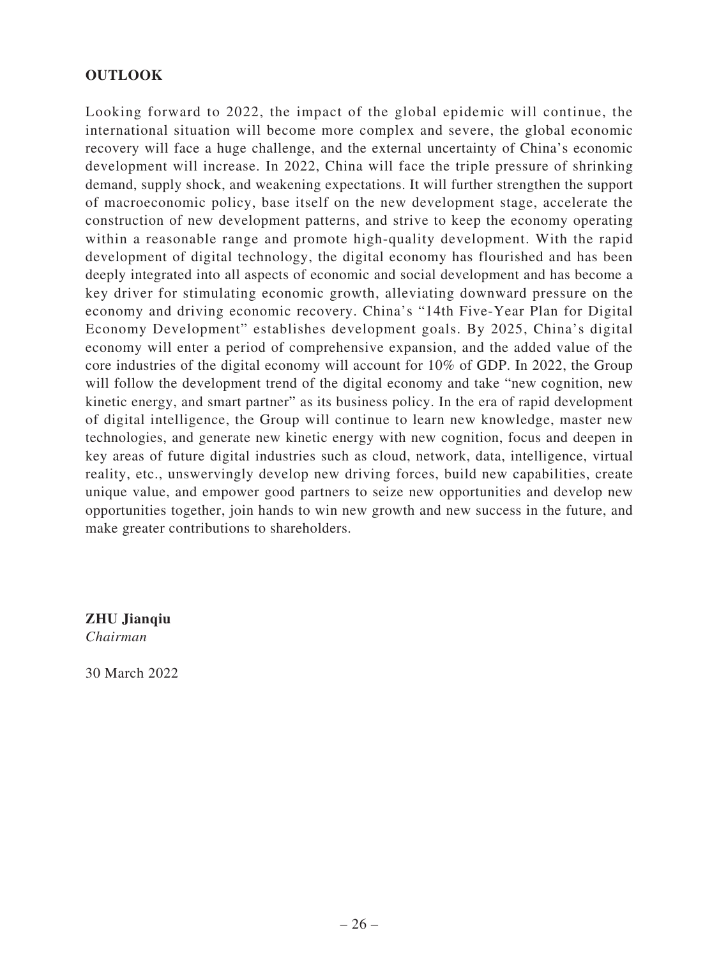# **OUTLOOK**

Looking forward to 2022, the impact of the global epidemic will continue, the international situation will become more complex and severe, the global economic recovery will face a huge challenge, and the external uncertainty of China's economic development will increase. In 2022, China will face the triple pressure of shrinking demand, supply shock, and weakening expectations. It will further strengthen the support of macroeconomic policy, base itself on the new development stage, accelerate the construction of new development patterns, and strive to keep the economy operating within a reasonable range and promote high-quality development. With the rapid development of digital technology, the digital economy has flourished and has been deeply integrated into all aspects of economic and social development and has become a key driver for stimulating economic growth, alleviating downward pressure on the economy and driving economic recovery. China's "14th Five-Year Plan for Digital Economy Development" establishes development goals. By 2025, China's digital economy will enter a period of comprehensive expansion, and the added value of the core industries of the digital economy will account for 10% of GDP. In 2022, the Group will follow the development trend of the digital economy and take "new cognition, new kinetic energy, and smart partner" as its business policy. In the era of rapid development of digital intelligence, the Group will continue to learn new knowledge, master new technologies, and generate new kinetic energy with new cognition, focus and deepen in key areas of future digital industries such as cloud, network, data, intelligence, virtual reality, etc., unswervingly develop new driving forces, build new capabilities, create unique value, and empower good partners to seize new opportunities and develop new opportunities together, join hands to win new growth and new success in the future, and make greater contributions to shareholders.

**ZHU Jianqiu** *Chairman*

30 March 2022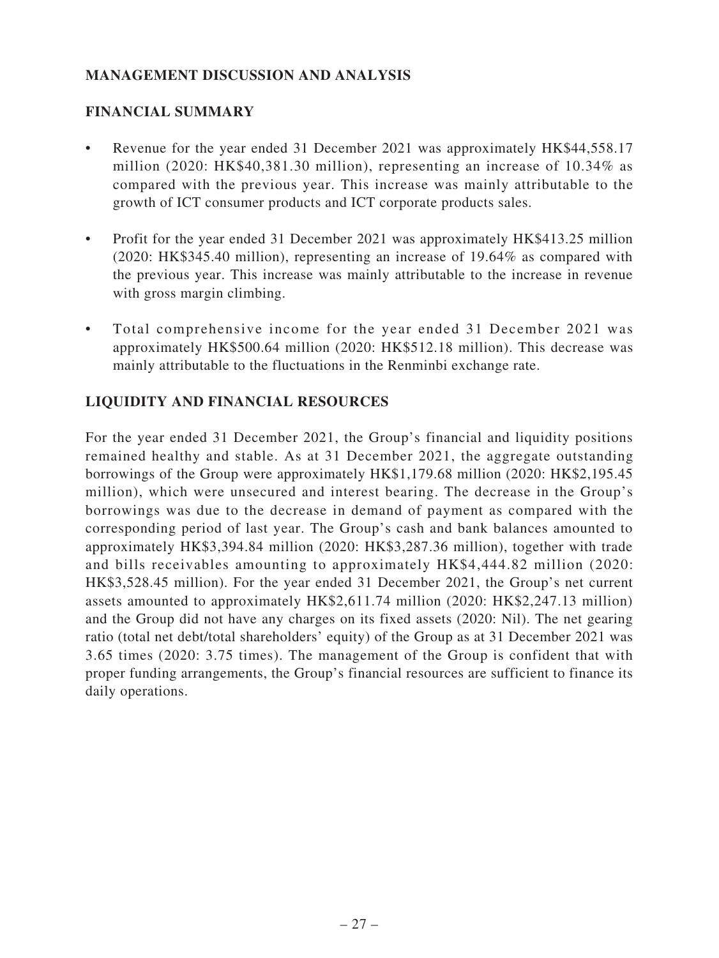# **MANAGEMENT DISCUSSION AND ANALYSIS**

# **FINANCIAL SUMMARY**

- Revenue for the year ended 31 December 2021 was approximately HK\$44,558.17 million (2020: HK\$40,381.30 million), representing an increase of 10.34% as compared with the previous year. This increase was mainly attributable to the growth of ICT consumer products and ICT corporate products sales.
- Profit for the year ended 31 December 2021 was approximately HK\$413.25 million (2020: HK\$345.40 million), representing an increase of 19.64% as compared with the previous year. This increase was mainly attributable to the increase in revenue with gross margin climbing.
- Total comprehensive income for the year ended 31 December 2021 was approximately HK\$500.64 million (2020: HK\$512.18 million). This decrease was mainly attributable to the fluctuations in the Renminbi exchange rate.

# **LIQUIDITY AND FINANCIAL RESOURCES**

For the year ended 31 December 2021, the Group's financial and liquidity positions remained healthy and stable. As at 31 December 2021, the aggregate outstanding borrowings of the Group were approximately HK\$1,179.68 million (2020: HK\$2,195.45 million), which were unsecured and interest bearing. The decrease in the Group's borrowings was due to the decrease in demand of payment as compared with the corresponding period of last year. The Group's cash and bank balances amounted to approximately HK\$3,394.84 million (2020: HK\$3,287.36 million), together with trade and bills receivables amounting to approximately HK\$4,444.82 million (2020: HK\$3,528.45 million). For the year ended 31 December 2021, the Group's net current assets amounted to approximately HK\$2,611.74 million (2020: HK\$2,247.13 million) and the Group did not have any charges on its fixed assets (2020: Nil). The net gearing ratio (total net debt/total shareholders' equity) of the Group as at 31 December 2021 was 3.65 times (2020: 3.75 times). The management of the Group is confident that with proper funding arrangements, the Group's financial resources are sufficient to finance its daily operations.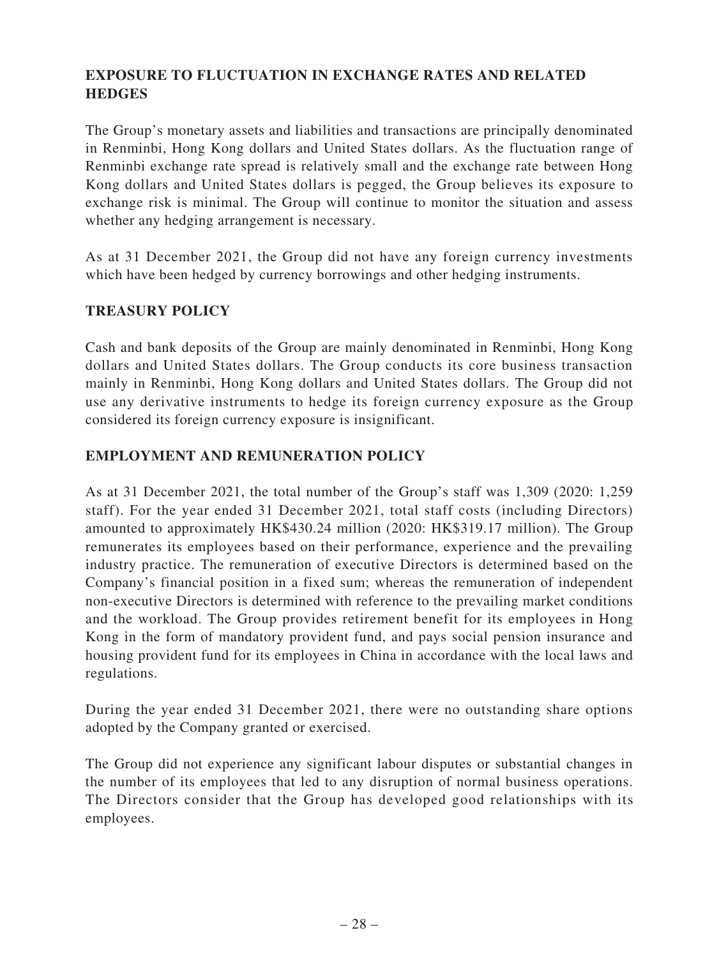# **EXPOSURE TO FLUCTUATION IN EXCHANGE RATES AND RELATED HEDGES**

The Group's monetary assets and liabilities and transactions are principally denominated in Renminbi, Hong Kong dollars and United States dollars. As the fluctuation range of Renminbi exchange rate spread is relatively small and the exchange rate between Hong Kong dollars and United States dollars is pegged, the Group believes its exposure to exchange risk is minimal. The Group will continue to monitor the situation and assess whether any hedging arrangement is necessary.

As at 31 December 2021, the Group did not have any foreign currency investments which have been hedged by currency borrowings and other hedging instruments.

### **TREASURY POLICY**

Cash and bank deposits of the Group are mainly denominated in Renminbi, Hong Kong dollars and United States dollars. The Group conducts its core business transaction mainly in Renminbi, Hong Kong dollars and United States dollars. The Group did not use any derivative instruments to hedge its foreign currency exposure as the Group considered its foreign currency exposure is insignificant.

### **EMPLOYMENT AND REMUNERATION POLICY**

As at 31 December 2021, the total number of the Group's staff was 1,309 (2020: 1,259 staff). For the year ended 31 December 2021, total staff costs (including Directors) amounted to approximately HK\$430.24 million (2020: HK\$319.17 million). The Group remunerates its employees based on their performance, experience and the prevailing industry practice. The remuneration of executive Directors is determined based on the Company's financial position in a fixed sum; whereas the remuneration of independent non-executive Directors is determined with reference to the prevailing market conditions and the workload. The Group provides retirement benefit for its employees in Hong Kong in the form of mandatory provident fund, and pays social pension insurance and housing provident fund for its employees in China in accordance with the local laws and regulations.

During the year ended 31 December 2021, there were no outstanding share options adopted by the Company granted or exercised.

The Group did not experience any significant labour disputes or substantial changes in the number of its employees that led to any disruption of normal business operations. The Directors consider that the Group has developed good relationships with its employees.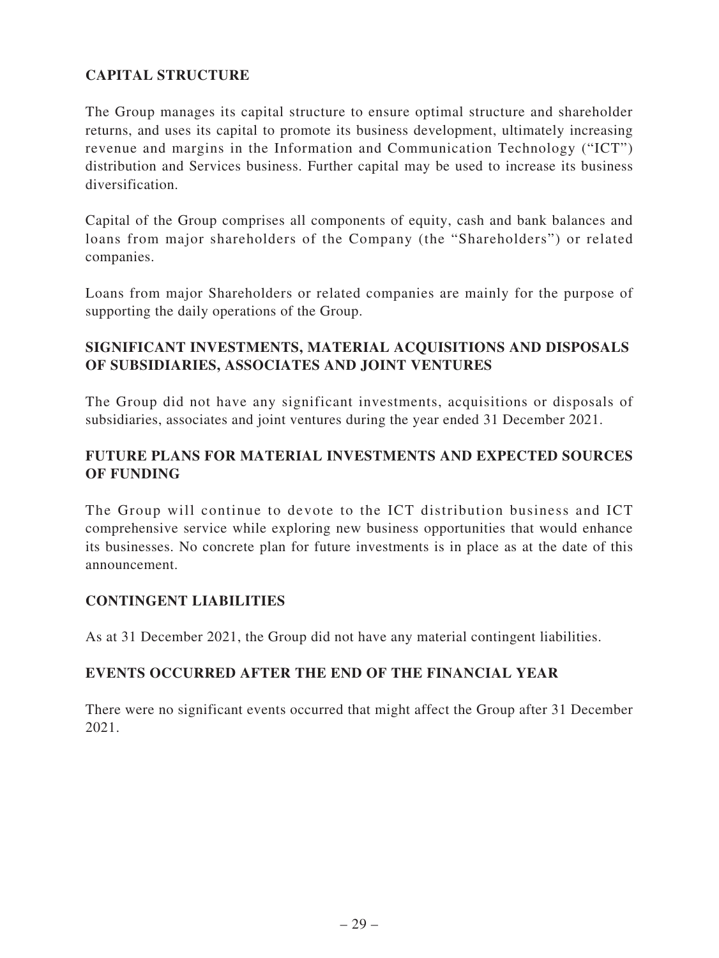# **CAPITAL STRUCTURE**

The Group manages its capital structure to ensure optimal structure and shareholder returns, and uses its capital to promote its business development, ultimately increasing revenue and margins in the Information and Communication Technology ("ICT") distribution and Services business. Further capital may be used to increase its business diversification.

Capital of the Group comprises all components of equity, cash and bank balances and loans from major shareholders of the Company (the "Shareholders") or related companies.

Loans from major Shareholders or related companies are mainly for the purpose of supporting the daily operations of the Group.

### **SIGNIFICANT INVESTMENTS, MATERIAL ACQUISITIONS AND DISPOSALS OF SUBSIDIARIES, ASSOCIATES AND JOINT VENTURES**

The Group did not have any significant investments, acquisitions or disposals of subsidiaries, associates and joint ventures during the year ended 31 December 2021.

### **FUTURE PLANS FOR MATERIAL INVESTMENTS AND EXPECTED SOURCES OF FUNDING**

The Group will continue to devote to the ICT distribution business and ICT comprehensive service while exploring new business opportunities that would enhance its businesses. No concrete plan for future investments is in place as at the date of this announcement.

### **CONTINGENT LIABILITIES**

As at 31 December 2021, the Group did not have any material contingent liabilities.

### **EVENTS OCCURRED AFTER THE END OF THE FINANCIAL YEAR**

There were no significant events occurred that might affect the Group after 31 December 2021.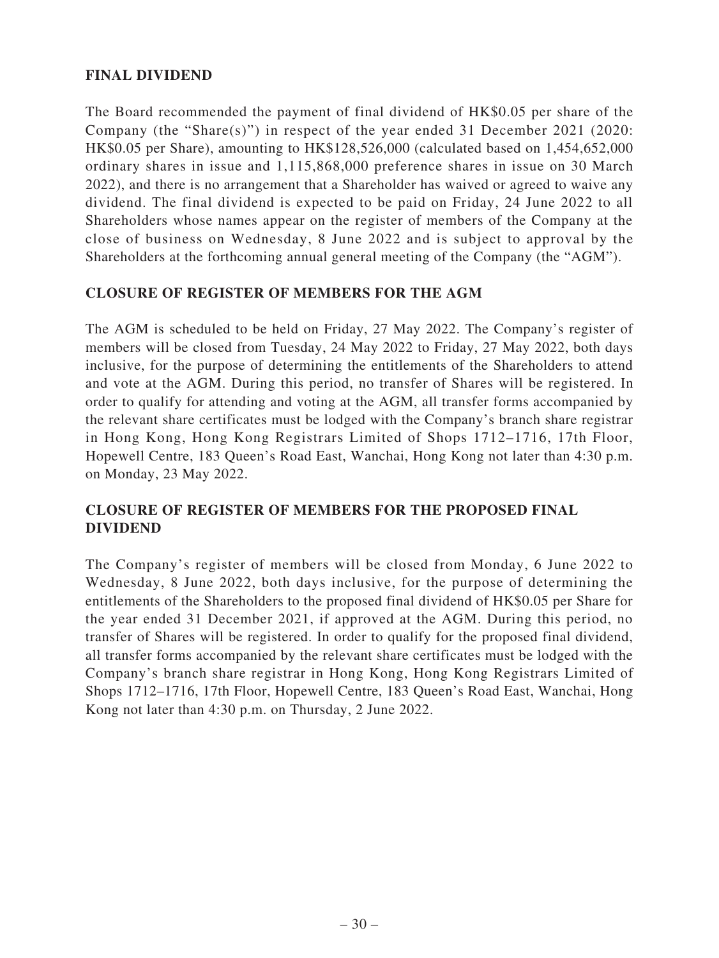## **FINAL DIVIDEND**

The Board recommended the payment of final dividend of HK\$0.05 per share of the Company (the "Share(s)") in respect of the year ended 31 December 2021 (2020: HK\$0.05 per Share), amounting to HK\$128,526,000 (calculated based on 1,454,652,000 ordinary shares in issue and 1,115,868,000 preference shares in issue on 30 March 2022), and there is no arrangement that a Shareholder has waived or agreed to waive any dividend. The final dividend is expected to be paid on Friday, 24 June 2022 to all Shareholders whose names appear on the register of members of the Company at the close of business on Wednesday, 8 June 2022 and is subject to approval by the Shareholders at the forthcoming annual general meeting of the Company (the "AGM").

### **CLOSURE OF REGISTER OF MEMBERS FOR THE AGM**

The AGM is scheduled to be held on Friday, 27 May 2022. The Company's register of members will be closed from Tuesday, 24 May 2022 to Friday, 27 May 2022, both days inclusive, for the purpose of determining the entitlements of the Shareholders to attend and vote at the AGM. During this period, no transfer of Shares will be registered. In order to qualify for attending and voting at the AGM, all transfer forms accompanied by the relevant share certificates must be lodged with the Company's branch share registrar in Hong Kong, Hong Kong Registrars Limited of Shops 1712–1716, 17th Floor, Hopewell Centre, 183 Queen's Road East, Wanchai, Hong Kong not later than 4:30 p.m. on Monday, 23 May 2022.

### **CLOSURE OF REGISTER OF MEMBERS FOR THE PROPOSED FINAL DIVIDEND**

The Company's register of members will be closed from Monday, 6 June 2022 to Wednesday, 8 June 2022, both days inclusive, for the purpose of determining the entitlements of the Shareholders to the proposed final dividend of HK\$0.05 per Share for the year ended 31 December 2021, if approved at the AGM. During this period, no transfer of Shares will be registered. In order to qualify for the proposed final dividend, all transfer forms accompanied by the relevant share certificates must be lodged with the Company's branch share registrar in Hong Kong, Hong Kong Registrars Limited of Shops 1712–1716, 17th Floor, Hopewell Centre, 183 Queen's Road East, Wanchai, Hong Kong not later than 4:30 p.m. on Thursday, 2 June 2022.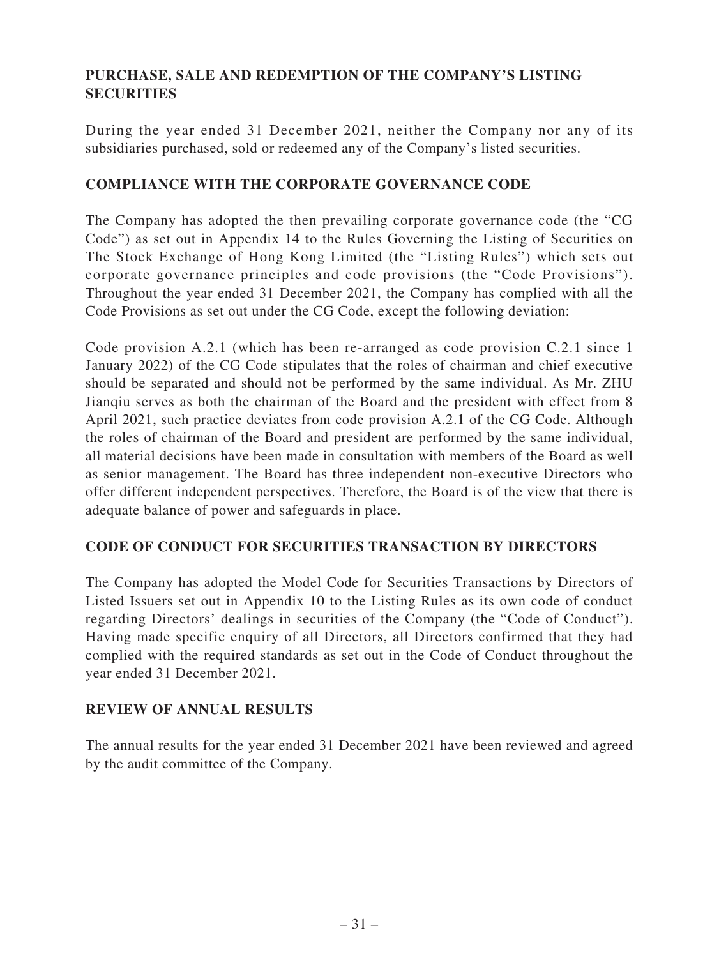# **PURCHASE, SALE AND REDEMPTION OF THE COMPANY'S LISTING SECURITIES**

During the year ended 31 December 2021, neither the Company nor any of its subsidiaries purchased, sold or redeemed any of the Company's listed securities.

### **COMPLIANCE WITH THE CORPORATE GOVERNANCE CODE**

The Company has adopted the then prevailing corporate governance code (the "CG Code") as set out in Appendix 14 to the Rules Governing the Listing of Securities on The Stock Exchange of Hong Kong Limited (the "Listing Rules") which sets out corporate governance principles and code provisions (the "Code Provisions"). Throughout the year ended 31 December 2021, the Company has complied with all the Code Provisions as set out under the CG Code, except the following deviation:

Code provision A.2.1 (which has been re-arranged as code provision C.2.1 since 1 January 2022) of the CG Code stipulates that the roles of chairman and chief executive should be separated and should not be performed by the same individual. As Mr. ZHU Jianqiu serves as both the chairman of the Board and the president with effect from 8 April 2021, such practice deviates from code provision A.2.1 of the CG Code. Although the roles of chairman of the Board and president are performed by the same individual, all material decisions have been made in consultation with members of the Board as well as senior management. The Board has three independent non-executive Directors who offer different independent perspectives. Therefore, the Board is of the view that there is adequate balance of power and safeguards in place.

### **CODE OF CONDUCT FOR SECURITIES TRANSACTION BY DIRECTORS**

The Company has adopted the Model Code for Securities Transactions by Directors of Listed Issuers set out in Appendix 10 to the Listing Rules as its own code of conduct regarding Directors' dealings in securities of the Company (the "Code of Conduct"). Having made specific enquiry of all Directors, all Directors confirmed that they had complied with the required standards as set out in the Code of Conduct throughout the year ended 31 December 2021.

### **REVIEW OF ANNUAL RESULTS**

The annual results for the year ended 31 December 2021 have been reviewed and agreed by the audit committee of the Company.